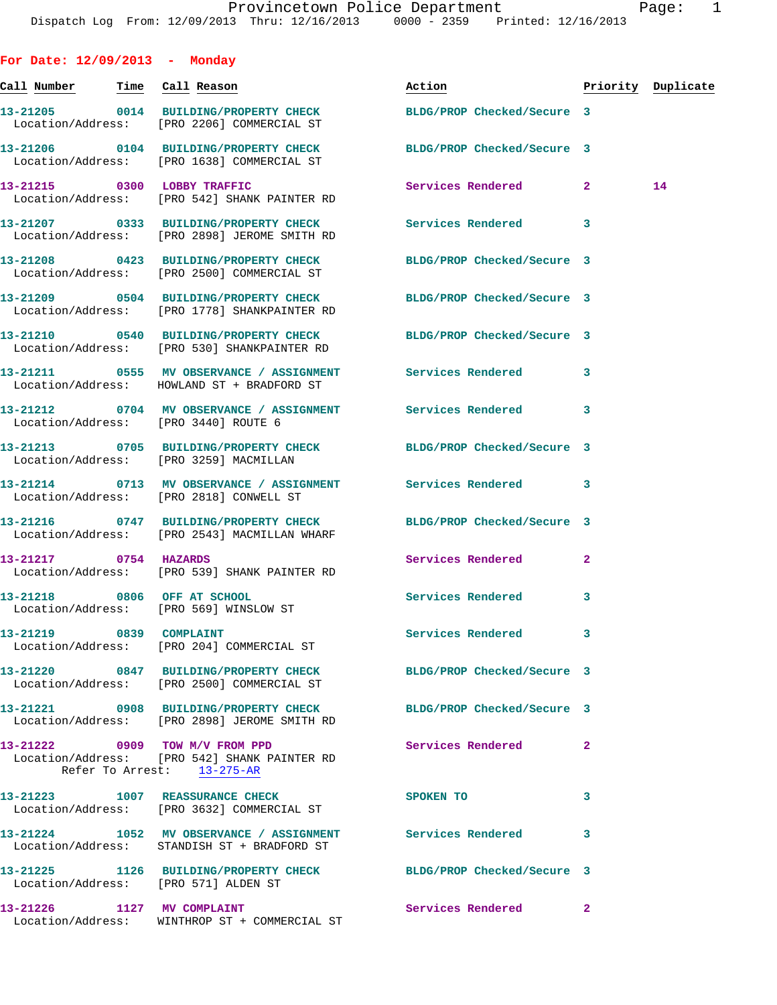| For Date: $12/09/2013$ - Monday      |                                                                                                                  |                          |                |                    |
|--------------------------------------|------------------------------------------------------------------------------------------------------------------|--------------------------|----------------|--------------------|
| Call Number Time Call Reason         |                                                                                                                  | Action                   |                | Priority Duplicate |
|                                      | 13-21205 0014 BUILDING/PROPERTY CHECK BLDG/PROP Checked/Secure 3<br>Location/Address: [PRO 2206] COMMERCIAL ST   |                          |                |                    |
|                                      | 13-21206 0104 BUILDING/PROPERTY CHECK BLDG/PROP Checked/Secure 3<br>Location/Address: [PRO 1638] COMMERCIAL ST   |                          |                |                    |
|                                      | 13-21215 0300 LOBBY TRAFFIC<br>Location/Address: [PRO 542] SHANK PAINTER RD                                      | Services Rendered 2      |                | 14                 |
|                                      | 13-21207 0333 BUILDING/PROPERTY CHECK Services Rendered<br>Location/Address: [PRO 2898] JEROME SMITH RD          |                          | 3              |                    |
|                                      | 13-21208 0423 BUILDING/PROPERTY CHECK BLDG/PROP Checked/Secure 3<br>Location/Address: [PRO 2500] COMMERCIAL ST   |                          |                |                    |
|                                      | 13-21209 0504 BUILDING/PROPERTY CHECK BLDG/PROP Checked/Secure 3<br>Location/Address: [PRO 1778] SHANKPAINTER RD |                          |                |                    |
|                                      | 13-21210 0540 BUILDING/PROPERTY CHECK BLDG/PROP Checked/Secure 3<br>Location/Address: [PRO 530] SHANKPAINTER RD  |                          |                |                    |
|                                      | 13-21211 0555 MV OBSERVANCE / ASSIGNMENT Services Rendered<br>Location/Address: HOWLAND ST + BRADFORD ST         |                          | 3              |                    |
| Location/Address: [PRO 3440] ROUTE 6 | 13-21212 0704 MV OBSERVANCE / ASSIGNMENT Services Rendered 3                                                     |                          |                |                    |
|                                      | 13-21213 0705 BUILDING/PROPERTY CHECK BLDG/PROP Checked/Secure 3<br>Location/Address: [PRO 3259] MACMILLAN       |                          |                |                    |
|                                      | 13-21214 0713 MV OBSERVANCE / ASSIGNMENT Services Rendered<br>Location/Address: [PRO 2818] CONWELL ST            |                          | 3              |                    |
|                                      | 13-21216 0747 BUILDING/PROPERTY CHECK BLDG/PROP Checked/Secure 3<br>Location/Address: [PRO 2543] MACMILLAN WHARF |                          |                |                    |
| 13-21217 0754 HAZARDS                | Location/Address: [PRO 539] SHANK PAINTER RD                                                                     | Services Rendered        | $\overline{a}$ |                    |
|                                      | 13-21218 0806 OFF AT SCHOOL<br>Location/Address: [PRO 569] WINSLOW ST                                            | <b>Services Rendered</b> | 3              |                    |
| 13-21219 0839 COMPLAINT              | Location/Address: [PRO 204] COMMERCIAL ST                                                                        | <b>Services Rendered</b> | 3              |                    |
|                                      | 13-21220 0847 BUILDING/PROPERTY CHECK BLDG/PROP Checked/Secure 3<br>Location/Address: [PRO 2500] COMMERCIAL ST   |                          |                |                    |
|                                      | 13-21221 0908 BUILDING/PROPERTY CHECK BLDG/PROP Checked/Secure 3<br>Location/Address: [PRO 2898] JEROME SMITH RD |                          |                |                    |
|                                      | 13-21222 0909 TOW M/V FROM PPD<br>Location/Address: [PRO 542] SHANK PAINTER RD<br>Refer To Arrest: 13-275-AR     | Services Rendered        | $\mathbf{2}$   |                    |
|                                      | 13-21223 1007 REASSURANCE CHECK<br>Location/Address: [PRO 3632] COMMERCIAL ST                                    | SPOKEN TO                | 3              |                    |
|                                      | 13-21224 1052 MV OBSERVANCE / ASSIGNMENT Services Rendered<br>Location/Address: STANDISH ST + BRADFORD ST        |                          | 3              |                    |
| Location/Address: [PRO 571] ALDEN ST | 13-21225 1126 BUILDING/PROPERTY CHECK BLDG/PROP Checked/Secure 3                                                 |                          |                |                    |
| 13-21226 1127 MV COMPLAINT           | Location/Address: WINTHROP ST + COMMERCIAL ST                                                                    | Services Rendered        | $\mathbf{2}$   |                    |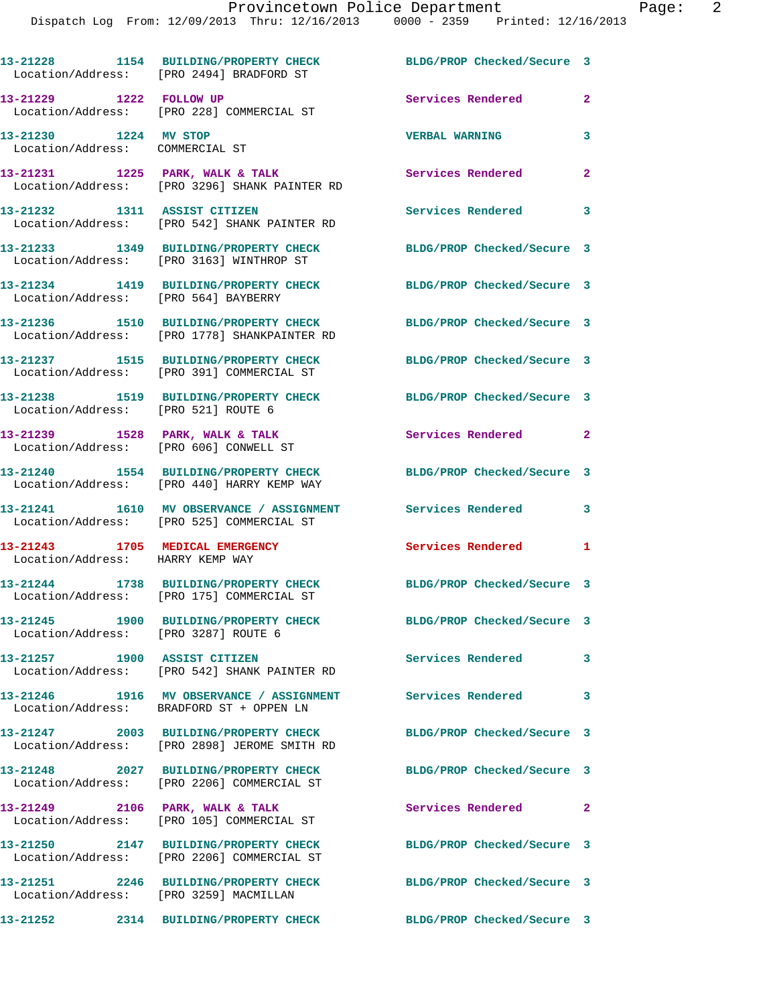|                                                                     | 13-21228 1154 BUILDING/PROPERTY CHECK<br>Location/Address: [PRO 2494] BRADFORD ST                      | BLDG/PROP Checked/Secure 3 |              |
|---------------------------------------------------------------------|--------------------------------------------------------------------------------------------------------|----------------------------|--------------|
| 13-21229 1222 FOLLOW UP                                             | Location/Address: [PRO 228] COMMERCIAL ST                                                              | Services Rendered          | $\mathbf{2}$ |
| 13-21230 1224 MV STOP<br>Location/Address: COMMERCIAL ST            |                                                                                                        | <b>VERBAL WARNING</b>      | 3            |
|                                                                     | 13-21231 1225 PARK, WALK & TALK<br>Location/Address: [PRO 3296] SHANK PAINTER RD                       | Services Rendered          | $\mathbf{2}$ |
| 13-21232 1311 ASSIST CITIZEN                                        | Location/Address: [PRO 542] SHANK PAINTER RD                                                           | Services Rendered          | 3            |
|                                                                     | 13-21233 1349 BUILDING/PROPERTY CHECK<br>Location/Address: [PRO 3163] WINTHROP ST                      | BLDG/PROP Checked/Secure 3 |              |
| Location/Address: [PRO 564] BAYBERRY                                | 13-21234 1419 BUILDING/PROPERTY CHECK                                                                  | BLDG/PROP Checked/Secure 3 |              |
|                                                                     | 13-21236 1510 BUILDING/PROPERTY CHECK<br>Location/Address: [PRO 1778] SHANKPAINTER RD                  | BLDG/PROP Checked/Secure 3 |              |
|                                                                     | 13-21237 1515 BUILDING/PROPERTY CHECK<br>Location/Address: [PRO 391] COMMERCIAL ST                     | BLDG/PROP Checked/Secure 3 |              |
| Location/Address: [PRO 521] ROUTE 6                                 | 13-21238 1519 BUILDING/PROPERTY CHECK                                                                  | BLDG/PROP Checked/Secure 3 |              |
| Location/Address: [PRO 606] CONWELL ST                              | 13-21239 1528 PARK, WALK & TALK                                                                        | Services Rendered 2        |              |
|                                                                     | 13-21240 1554 BUILDING/PROPERTY CHECK<br>Location/Address: [PRO 440] HARRY KEMP WAY                    | BLDG/PROP Checked/Secure 3 |              |
|                                                                     | 13-21241 1610 MV OBSERVANCE / ASSIGNMENT<br>Location/Address: [PRO 525] COMMERCIAL ST                  | Services Rendered          | 3            |
| 13-21243 1705 MEDICAL EMERGENCY<br>Location/Address: HARRY KEMP WAY |                                                                                                        | Services Rendered          | 1            |
|                                                                     | 13-21244 1738 BUILDING/PROPERTY CHECK<br>Location/Address: [PRO 175] COMMERCIAL ST                     | BLDG/PROP Checked/Secure 3 |              |
| Location/Address: [PRO 3287] ROUTE 6                                |                                                                                                        | BLDG/PROP Checked/Secure 3 |              |
| 13-21257 1900 ASSIST CITIZEN                                        | Location/Address: [PRO 542] SHANK PAINTER RD                                                           | Services Rendered          | 3            |
|                                                                     | 13-21246 1916 MV OBSERVANCE / ASSIGNMENT Services Rendered<br>Location/Address: BRADFORD ST + OPPEN LN |                            | 3            |
|                                                                     | 13-21247 2003 BUILDING/PROPERTY CHECK<br>Location/Address: [PRO 2898] JEROME SMITH RD                  | BLDG/PROP Checked/Secure 3 |              |
|                                                                     | 13-21248 2027 BUILDING/PROPERTY CHECK<br>Location/Address: [PRO 2206] COMMERCIAL ST                    | BLDG/PROP Checked/Secure 3 |              |
|                                                                     | 13-21249 2106 PARK, WALK & TALK<br>Location/Address: [PRO 105] COMMERCIAL ST                           | Services Rendered 2        |              |
|                                                                     | 13-21250 2147 BUILDING/PROPERTY CHECK<br>Location/Address: [PRO 2206] COMMERCIAL ST                    | BLDG/PROP Checked/Secure 3 |              |
| 13-21251<br>Location/Address: [PRO 3259] MACMILLAN                  | 2246 BUILDING/PROPERTY CHECK                                                                           | BLDG/PROP Checked/Secure 3 |              |
|                                                                     | 13-21252 2314 BUILDING/PROPERTY CHECK BLDG/PROP Checked/Secure 3                                       |                            |              |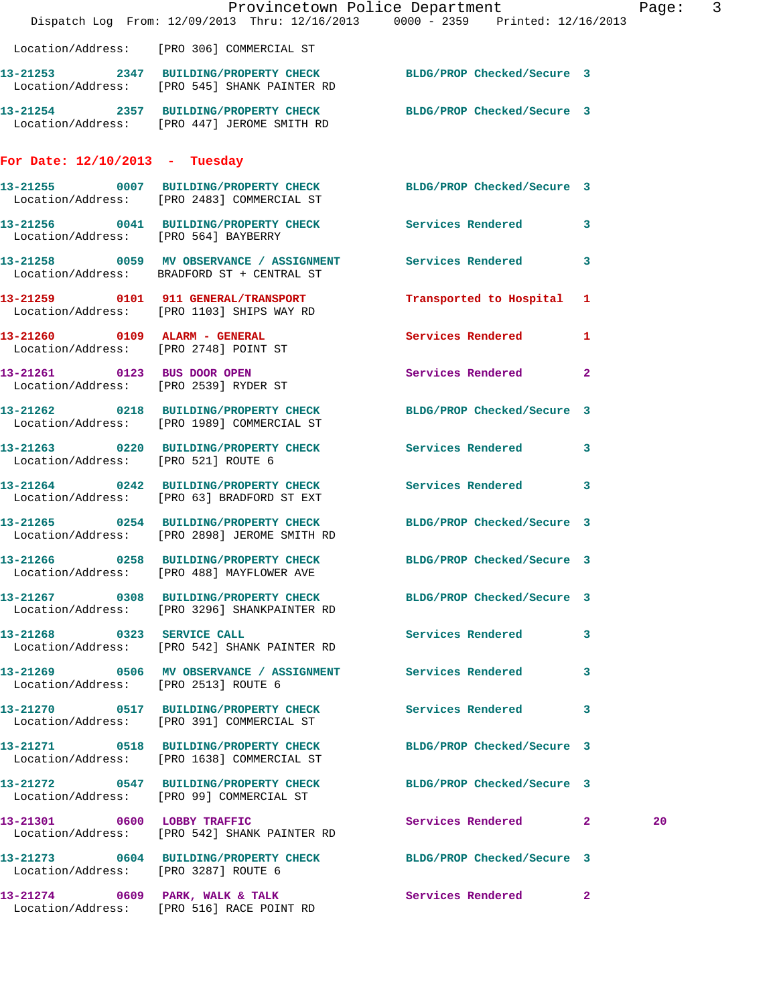|                                       | Dispatch Log From: 12/09/2013 Thru: 12/16/2013 0000 - 2359 Printed: 12/16/2013                                   | Provincetown Police Department | Page: 3                 |
|---------------------------------------|------------------------------------------------------------------------------------------------------------------|--------------------------------|-------------------------|
|                                       | Location/Address: [PRO 306] COMMERCIAL ST                                                                        |                                |                         |
|                                       | 13-21253 2347 BUILDING/PROPERTY CHECK BLDG/PROP Checked/Secure 3<br>Location/Address: [PRO 545] SHANK PAINTER RD |                                |                         |
|                                       | 13-21254 2357 BUILDING/PROPERTY CHECK BLDG/PROP Checked/Secure 3<br>Location/Address: [PRO 447] JEROME SMITH RD  |                                |                         |
| For Date: $12/10/2013$ - Tuesday      |                                                                                                                  |                                |                         |
|                                       | 13-21255 0007 BUILDING/PROPERTY CHECK BLDG/PROP Checked/Secure 3<br>Location/Address: [PRO 2483] COMMERCIAL ST   |                                |                         |
| Location/Address: [PRO 564] BAYBERRY  | 13-21256 0041 BUILDING/PROPERTY CHECK Services Rendered 3                                                        |                                |                         |
|                                       | 13-21258 0059 MV OBSERVANCE / ASSIGNMENT Services Rendered<br>Location/Address: BRADFORD ST + CENTRAL ST         |                                | 3                       |
|                                       | 13-21259 0101 911 GENERAL/TRANSPORT<br>Location/Address: [PRO 1103] SHIPS WAY RD                                 | Transported to Hospital 1      |                         |
| Location/Address: [PRO 2748] POINT ST | 13-21260 0109 ALARM - GENERAL                                                                                    | <b>Services Rendered</b>       | $\mathbf{1}$            |
|                                       | 13-21261 0123 BUS DOOR OPEN<br>Location/Address: [PRO 2539] RYDER ST                                             | Services Rendered 2            |                         |
|                                       | 13-21262 0218 BUILDING/PROPERTY CHECK BLDG/PROP Checked/Secure 3<br>Location/Address: [PRO 1989] COMMERCIAL ST   |                                |                         |
| Location/Address: [PRO 521] ROUTE 6   | 13-21263 0220 BUILDING/PROPERTY CHECK Services Rendered                                                          |                                | $\mathbf{3}$            |
|                                       | 13-21264 0242 BUILDING/PROPERTY CHECK Services Rendered<br>Location/Address: [PRO 63] BRADFORD ST EXT            |                                | $\mathbf{3}$            |
|                                       | 13-21265 0254 BUILDING/PROPERTY CHECK<br>Location/Address: [PRO 2898] JEROME SMITH RD                            | BLDG/PROP Checked/Secure 3     |                         |
|                                       | 13-21266 0258 BUILDING/PROPERTY CHECK BLDG/PROP Checked/Secure 3<br>Location/Address: [PRO 488] MAYFLOWER AVE    |                                |                         |
|                                       | 13-21267 0308 BUILDING/PROPERTY CHECK BLDG/PROP Checked/Secure 3<br>Location/Address: [PRO 3296] SHANKPAINTER RD |                                |                         |
|                                       | 13-21268 0323 SERVICE CALL<br>Location/Address: [PRO 542] SHANK PAINTER RD                                       | Services Rendered              | $\mathbf{3}$            |
| Location/Address: [PRO 2513] ROUTE 6  | 13-21269 0506 MV OBSERVANCE / ASSIGNMENT Services Rendered 3                                                     |                                |                         |
|                                       | 13-21270 0517 BUILDING/PROPERTY CHECK Services Rendered<br>Location/Address: [PRO 391] COMMERCIAL ST             |                                | $\overline{\mathbf{3}}$ |
|                                       | 13-21271 0518 BUILDING/PROPERTY CHECK BLDG/PROP Checked/Secure 3<br>Location/Address: [PRO 1638] COMMERCIAL ST   |                                |                         |
|                                       | 13-21272 0547 BUILDING/PROPERTY CHECK<br>Location/Address: [PRO 99] COMMERCIAL ST                                | BLDG/PROP Checked/Secure 3     |                         |
| 13-21301 0600 LOBBY TRAFFIC           | Location/Address: [PRO 542] SHANK PAINTER RD                                                                     | Services Rendered 2            | 20                      |
| Location/Address: [PRO 3287] ROUTE 6  | 13-21273 0604 BUILDING/PROPERTY CHECK BLDG/PROP Checked/Secure 3                                                 |                                |                         |
|                                       | 13-21274 0609 PARK, WALK & TALK<br>Location/Address: [PRO 516] RACE POINT RD                                     | <b>Services Rendered</b> 2     |                         |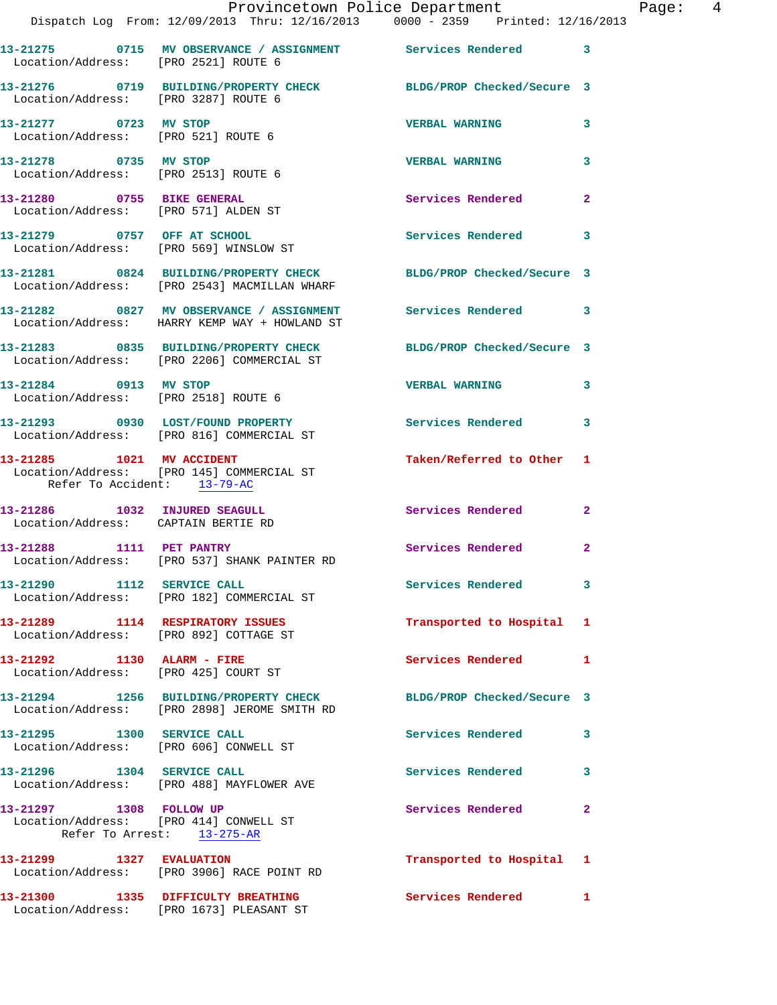|                                                                      | Dispatch Log From: 12/09/2013 Thru: 12/16/2013 0000 - 2359 Printed: 12/16/2013                                   | Provincetown Police Department |              | Page: 4 |  |
|----------------------------------------------------------------------|------------------------------------------------------------------------------------------------------------------|--------------------------------|--------------|---------|--|
| Location/Address: [PRO 2521] ROUTE 6                                 | 13-21275 0715 MV OBSERVANCE / ASSIGNMENT Services Rendered 3                                                     |                                |              |         |  |
| Location/Address: [PRO 3287] ROUTE 6                                 | 13-21276 0719 BUILDING/PROPERTY CHECK BLDG/PROP Checked/Secure 3                                                 |                                |              |         |  |
| Location/Address: [PRO 521] ROUTE 6                                  | 13-21277 0723 MV STOP                                                                                            | <b>VERBAL WARNING</b>          | 3            |         |  |
| 13-21278 0735 MV STOP<br>Location/Address: [PRO 2513] ROUTE 6        |                                                                                                                  | <b>VERBAL WARNING</b>          | $\mathbf{3}$ |         |  |
| 13-21280 0755 BIKE GENERAL<br>Location/Address: [PRO 571] ALDEN ST   |                                                                                                                  | Services Rendered              | $\mathbf{2}$ |         |  |
|                                                                      | 13-21279 0757 OFF AT SCHOOL<br>Location/Address: [PRO 569] WINSLOW ST                                            | Services Rendered 3            |              |         |  |
|                                                                      | 13-21281 0824 BUILDING/PROPERTY CHECK BLDG/PROP Checked/Secure 3<br>Location/Address: [PRO 2543] MACMILLAN WHARF |                                |              |         |  |
|                                                                      | 13-21282 0827 MV OBSERVANCE / ASSIGNMENT Services Rendered 3<br>Location/Address: HARRY KEMP WAY + HOWLAND ST    |                                |              |         |  |
|                                                                      | 13-21283 0835 BUILDING/PROPERTY CHECK BLDG/PROP Checked/Secure 3<br>Location/Address: [PRO 2206] COMMERCIAL ST   |                                |              |         |  |
| 13-21284 0913 MV STOP                                                | Location/Address: [PRO 2518] ROUTE 6                                                                             | <b>VERBAL WARNING</b>          | 3            |         |  |
|                                                                      | 13-21293 0930 LOST/FOUND PROPERTY<br>Location/Address: [PRO 816] COMMERCIAL ST                                   | Services Rendered 3            |              |         |  |
| Refer To Accident: 13-79-AC                                          | 13-21285    1021    MV    ACCIDENT<br>Location/Address: [PRO 145] COMMERCIAL ST                                  | Taken/Referred to Other 1      |              |         |  |
| 13-21286 1032 INJURED SEAGULL<br>Location/Address: CAPTAIN BERTIE RD |                                                                                                                  | Services Rendered 2            |              |         |  |
|                                                                      | 13-21288 1111 PET PANTRY<br>Location/Address: [PRO 537] SHANK PAINTER RD                                         | Services Rendered              | $\mathbf{2}$ |         |  |
|                                                                      | 13-21290 1112 SERVICE CALL<br>Location/Address: [PRO 182] COMMERCIAL ST                                          | Services Rendered 3            |              |         |  |
| Location/Address: [PRO 892] COTTAGE ST                               | 13-21289 1114 RESPIRATORY ISSUES                                                                                 | Transported to Hospital 1      |              |         |  |
| 13-21292 1130 ALARM - FIRE                                           | Location/Address: [PRO 425] COURT ST                                                                             | Services Rendered 1            |              |         |  |
|                                                                      | 13-21294 1256 BUILDING/PROPERTY CHECK<br>Location/Address: [PRO 2898] JEROME SMITH RD                            | BLDG/PROP Checked/Secure 3     |              |         |  |
|                                                                      | 13-21295 1300 SERVICE CALL<br>Location/Address: [PRO 606] CONWELL ST                                             | Services Rendered 3            |              |         |  |
|                                                                      | 13-21296 1304 SERVICE CALL<br>Location/Address: [PRO 488] MAYFLOWER AVE                                          | <b>Services Rendered</b>       | 3            |         |  |
| 13-21297 1308 FOLLOW UP                                              | Location/Address: [PRO 414] CONWELL ST<br>Refer To Arrest: 13-275-AR                                             | Services Rendered 2            |              |         |  |
|                                                                      | 13-21299 1327 EVALUATION<br>Location/Address: [PRO 3906] RACE POINT RD                                           | Transported to Hospital 1      |              |         |  |
|                                                                      | 13-21300 1335 DIFFICULTY BREATHING<br>Location/Address: [PRO 1673] PLEASANT ST                                   | Services Rendered 1            |              |         |  |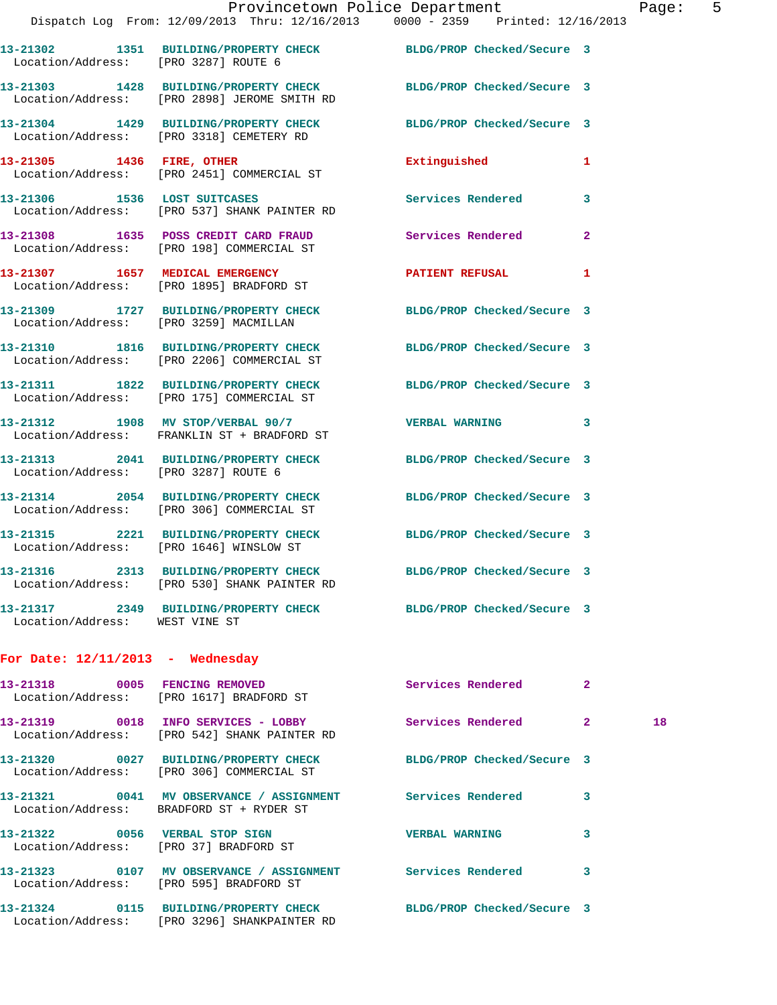|                                    |                                                                                                     | Provincetown Police Department                                                                               | Page |
|------------------------------------|-----------------------------------------------------------------------------------------------------|--------------------------------------------------------------------------------------------------------------|------|
|                                    |                                                                                                     | Dispatch Log From: 12/09/2013 Thru: 12/16/2013 0000 - 2359 Printed: 12/16/2013                               |      |
|                                    | Location/Address: [PRO 3287] ROUTE 6                                                                | 13-21302 1351 BUILDING/PROPERTY CHECK BLDG/PROP Checked/Secure 3                                             |      |
|                                    | Location/Address: [PRO 2898] JEROME SMITH RD                                                        | 13-21303 1428 BUILDING/PROPERTY CHECK BLDG/PROP Checked/Secure 3                                             |      |
|                                    |                                                                                                     | 13-21304 1429 BUILDING/PROPERTY CHECK BLDG/PROP Checked/Secure 3<br>Location/Address: [PRO 3318] CEMETERY RD |      |
|                                    | 13-21305 1436 FIRE, OTHER<br>Location/Address: [PRO 2451] COMMERCIAL ST                             | Extinguished<br>1                                                                                            |      |
|                                    | 13-21306 1536 LOST SUITCASES<br>Location/Address: [PRO 537] SHANK PAINTER RD                        | Services Rendered<br>3                                                                                       |      |
|                                    | 13-21308 1635 POSS CREDIT CARD FRAUD Services Rendered<br>Location/Address: [PRO 198] COMMERCIAL ST | $\overline{2}$                                                                                               |      |
|                                    | 13-21307 1657 MEDICAL EMERGENCY<br>Location/Address: [PRO 1895] BRADFORD ST                         | PATIENT REFUSAL 1                                                                                            |      |
|                                    | Location/Address: [PRO 3259] MACMILLAN                                                              | 13-21309 1727 BUILDING/PROPERTY CHECK BLDG/PROP Checked/Secure 3                                             |      |
|                                    | Location/Address: [PRO 2206] COMMERCIAL ST                                                          | 13-21310 1816 BUILDING/PROPERTY CHECK BLDG/PROP Checked/Secure 3                                             |      |
|                                    | Location/Address: [PRO 175] COMMERCIAL ST                                                           | 13-21311 1822 BUILDING/PROPERTY CHECK BLDG/PROP Checked/Secure 3                                             |      |
|                                    | Location/Address: FRANKLIN ST + BRADFORD ST                                                         | $13-21312$ 1908 MV STOP/VERBAL 90/7 VERBAL WARNING 3                                                         |      |
|                                    | Location/Address: [PRO 3287] ROUTE 6                                                                | 13-21313 2041 BUILDING/PROPERTY CHECK BLDG/PROP Checked/Secure 3                                             |      |
|                                    | Location/Address: [PRO 306] COMMERCIAL ST                                                           | 13-21314 2054 BUILDING/PROPERTY CHECK BLDG/PROP Checked/Secure 3                                             |      |
|                                    | Location/Address: [PRO 1646] WINSLOW ST                                                             | 13-21315 2221 BUILDING/PROPERTY CHECK BLDG/PROP Checked/Secure 3                                             |      |
|                                    | 13-21316 2313 BUILDING/PROPERTY CHECK<br>Location/Address: [PRO 530] SHANK PAINTER RD               | BLDG/PROP Checked/Secure 3                                                                                   |      |
| Location/Address: WEST VINE ST     | 13-21317 2349 BUILDING/PROPERTY CHECK                                                               | BLDG/PROP Checked/Secure 3                                                                                   |      |
| For Date: $12/11/2013$ - Wednesday |                                                                                                     |                                                                                                              |      |
|                                    | 13-21318 0005 FENCING REMOVED<br>Location/Address: [PRO 1617] BRADFORD ST                           | Services Rendered<br>$\mathbf{2}$                                                                            |      |
|                                    | 13-21319 0018 INFO SERVICES - LOBBY<br>Location/Address: [PRO 542] SHANK PAINTER RD                 | Services Rendered<br>$\mathbf{2}$                                                                            | 18   |

Location/Address: [PRO 3296] SHANKPAINTER RD

 Location/Address: [PRO 595] BRADFORD ST **13-21324 0115 BUILDING/PROPERTY CHECK BLDG/PROP Checked/Secure 3** 

Location/Address: [PRO 306] COMMERCIAL ST

Location/Address: BRADFORD ST + RYDER ST

Location/Address: [PRO 37] BRADFORD ST

**13-21320 0027 BUILDING/PROPERTY CHECK BLDG/PROP Checked/Secure 3 13-21321 0041 MV OBSERVANCE / ASSIGNMENT Services Rendered 3** 

**13-21322 0056 VERBAL STOP SIGN VERBAL WARNING 3** 

**13-21323 0107 MV OBSERVANCE / ASSIGNMENT Services Rendered 3**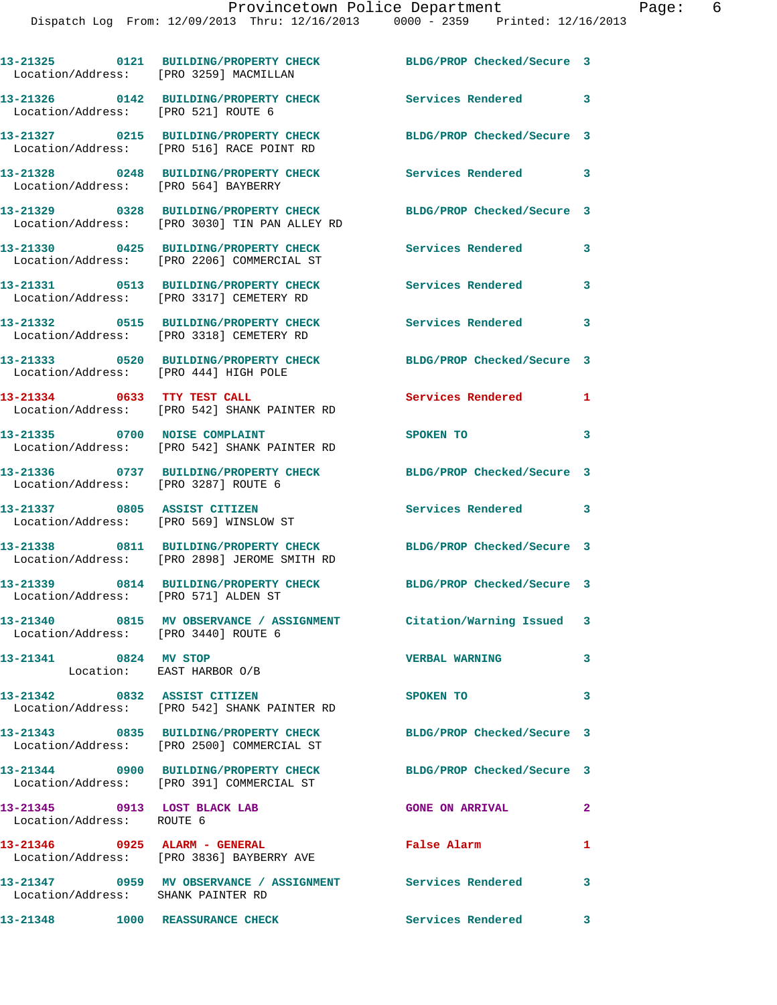**13-21325 0121 BUILDING/PROPERTY CHECK BLDG/PROP Checked/Secure 3**  Location/Address: [PRO 3259] MACMILLAN **13-21326 0142 BUILDING/PROPERTY CHECK Services Rendered 3**  Location/Address: [PRO 521] ROUTE 6 **13-21327 0215 BUILDING/PROPERTY CHECK BLDG/PROP Checked/Secure 3**  Location/Address: [PRO 516] RACE POINT RD **13-21328 0248 BUILDING/PROPERTY CHECK Services Rendered 3**  Location/Address: [PRO 564] BAYBERRY **13-21329 0328 BUILDING/PROPERTY CHECK BLDG/PROP Checked/Secure 3**  Location/Address: [PRO 3030] TIN PAN ALLEY RD **13-21330 0425 BUILDING/PROPERTY CHECK Services Rendered 3**  Location/Address: [PRO 2206] COMMERCIAL ST **13-21331 0513 BUILDING/PROPERTY CHECK Services Rendered 3**  Location/Address: [PRO 3317] CEMETERY RD **13-21332 0515 BUILDING/PROPERTY CHECK Services Rendered 3**  Location/Address: [PRO 3318] CEMETERY RD **13-21333 0520 BUILDING/PROPERTY CHECK BLDG/PROP Checked/Secure 3**  Location/Address: [PRO 444] HIGH POLE **13-21334 0633 TTY TEST CALL Services Rendered 1**  Location/Address: [PRO 542] SHANK PAINTER RD **13-21335 0700 NOISE COMPLAINT SPOKEN TO 3**  Location/Address: [PRO 542] SHANK PAINTER RD **13-21336 0737 BUILDING/PROPERTY CHECK BLDG/PROP Checked/Secure 3**  Location/Address: [PRO 3287] ROUTE 6 **13-21337 0805 ASSIST CITIZEN Services Rendered 3**  Location/Address: [PRO 569] WINSLOW ST **13-21338 0811 BUILDING/PROPERTY CHECK BLDG/PROP Checked/Secure 3**  Location/Address: [PRO 2898] JEROME SMITH RD **13-21339 0814 BUILDING/PROPERTY CHECK BLDG/PROP Checked/Secure 3**  Location/Address: [PRO 571] ALDEN ST **13-21340 0815 MV OBSERVANCE / ASSIGNMENT Citation/Warning Issued 3**  Location/Address: [PRO 3440] ROUTE 6 **13-21341 0824 MV STOP VERBAL WARNING 3**  Location: EAST HARBOR O/B **13-21342 0832 ASSIST CITIZEN SPOKEN TO 3**  Location/Address: [PRO 542] SHANK PAINTER RD **13-21343 0835 BUILDING/PROPERTY CHECK BLDG/PROP Checked/Secure 3**  Location/Address: [PRO 2500] COMMERCIAL ST **13-21344 0900 BUILDING/PROPERTY CHECK BLDG/PROP Checked/Secure 3**  Location/Address: [PRO 391] COMMERCIAL ST **13-21345 0913 LOST BLACK LAB GONE ON ARRIVAL 2**  Location/Address: ROUTE 6 **13-21346 0925 ALARM - GENERAL False Alarm 1**  Location/Address: [PRO 3836] BAYBERRY AVE **13-21347 0959 MV OBSERVANCE / ASSIGNMENT Services Rendered 3**  Location/Address: SHANK PAINTER RD

**13-21348 1000 REASSURANCE CHECK Services Rendered 3**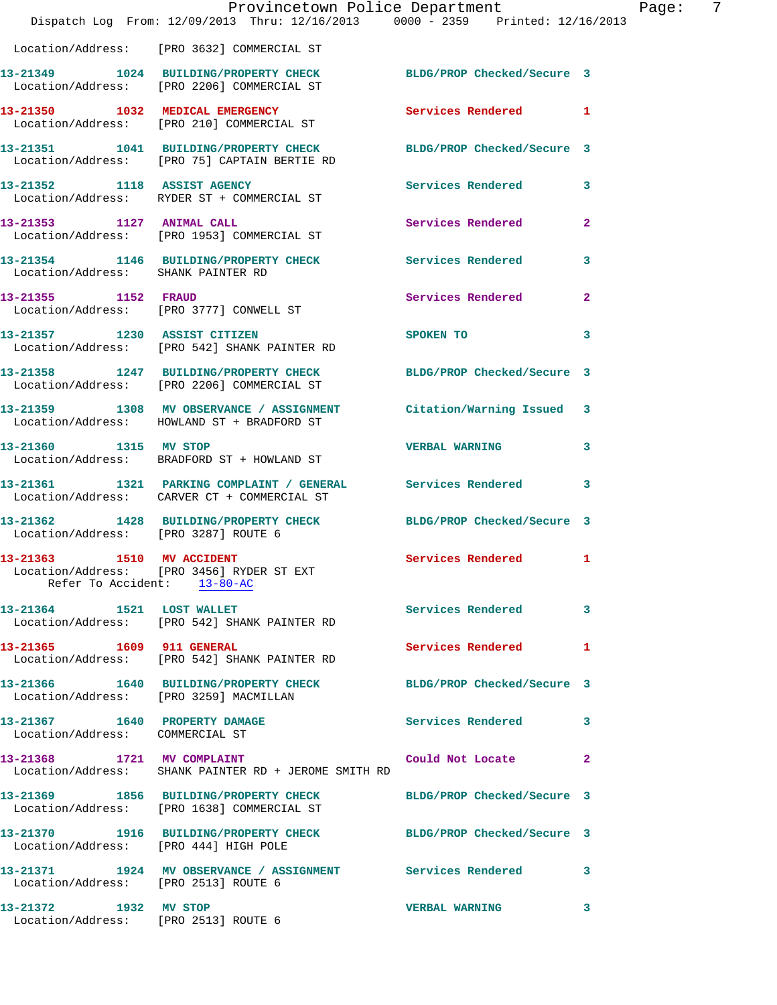|                                                                  | Dispatch Log From: 12/09/2013 Thru: 12/16/2013 0000 - 2359 Printed: 12/16/2013                                   | Provincetown Police Department | Page: 7        |
|------------------------------------------------------------------|------------------------------------------------------------------------------------------------------------------|--------------------------------|----------------|
|                                                                  | Location/Address: [PRO 3632] COMMERCIAL ST                                                                       |                                |                |
|                                                                  | 13-21349 1024 BUILDING/PROPERTY CHECK BLDG/PROP Checked/Secure 3<br>Location/Address: [PRO 2206] COMMERCIAL ST   |                                |                |
|                                                                  | 13-21350 1032 MEDICAL EMERGENCY<br>Location/Address: [PRO 210] COMMERCIAL ST                                     | <b>Services Rendered</b>       | 1              |
|                                                                  | 13-21351 1041 BUILDING/PROPERTY CHECK BLDG/PROP Checked/Secure 3<br>Location/Address: [PRO 75] CAPTAIN BERTIE RD |                                |                |
|                                                                  | 13-21352 1118 ASSIST AGENCY<br>Location/Address: RYDER ST + COMMERCIAL ST                                        | Services Rendered              | 3              |
| 13-21353 1127 ANIMAL CALL                                        | Location/Address: [PRO 1953] COMMERCIAL ST                                                                       | Services Rendered              | $\overline{2}$ |
| Location/Address: SHANK PAINTER RD                               | 13-21354 1146 BUILDING/PROPERTY CHECK Services Rendered                                                          |                                | 3              |
| 13-21355 1152 FRAUD                                              | Location/Address: [PRO 3777] CONWELL ST                                                                          | Services Rendered              | $\mathbf{2}$   |
|                                                                  | 13-21357 1230 ASSIST CITIZEN<br>Location/Address: [PRO 542] SHANK PAINTER RD                                     | SPOKEN TO                      | 3              |
|                                                                  | 13-21358 1247 BUILDING/PROPERTY CHECK BLDG/PROP Checked/Secure 3<br>Location/Address: [PRO 2206] COMMERCIAL ST   |                                |                |
|                                                                  | 13-21359 1308 MV OBSERVANCE / ASSIGNMENT Citation/Warning Issued 3<br>Location/Address: HOWLAND ST + BRADFORD ST |                                |                |
| 13-21360 1315 MV STOP                                            | Location/Address: BRADFORD ST + HOWLAND ST                                                                       | <b>VERBAL WARNING</b>          | 3              |
|                                                                  | 13-21361 1321 PARKING COMPLAINT / GENERAL Services Rendered<br>Location/Address: CARVER CT + COMMERCIAL ST       |                                | 3              |
| Location/Address: [PRO 3287] ROUTE 6                             | 13-21362 1428 BUILDING/PROPERTY CHECK BLDG/PROP Checked/Secure 3                                                 |                                |                |
| 13-21363 1510 MV ACCIDENT<br>Refer To Accident: 13-80-AC         | Location/Address: [PRO 3456] RYDER ST EXT                                                                        | Services Rendered 1            |                |
|                                                                  | 13-21364 1521 LOST WALLET<br>Location/Address: [PRO 542] SHANK PAINTER RD                                        | Services Rendered              | $\mathbf{3}$   |
|                                                                  | 13-21365 1609 911 GENERAL<br>Location/Address: [PRO 542] SHANK PAINTER RD                                        | Services Rendered 1            |                |
| Location/Address: [PRO 3259] MACMILLAN                           | 13-21366 1640 BUILDING/PROPERTY CHECK BLDG/PROP Checked/Secure 3                                                 |                                |                |
| 13-21367 1640 PROPERTY DAMAGE<br>Location/Address: COMMERCIAL ST |                                                                                                                  | Services Rendered 3            |                |
|                                                                  | 13-21368 1721 MV COMPLAINT<br>Location/Address: SHANK PAINTER RD + JEROME SMITH RD                               | Could Not Locate               | $\mathbf{2}$   |
|                                                                  | 13-21369 1856 BUILDING/PROPERTY CHECK<br>Location/Address: [PRO 1638] COMMERCIAL ST                              | BLDG/PROP Checked/Secure 3     |                |
| Location/Address: [PRO 444] HIGH POLE                            | 13-21370 1916 BUILDING/PROPERTY CHECK BLDG/PROP Checked/Secure 3                                                 |                                |                |
| Location/Address: [PRO 2513] ROUTE 6                             | 13-21371 1924 MV OBSERVANCE / ASSIGNMENT Services Rendered 3                                                     |                                |                |
| 13-21372 1932 MV STOP<br>Location/Address: [PRO 2513] ROUTE 6    |                                                                                                                  | <b>VERBAL WARNING</b>          | 3              |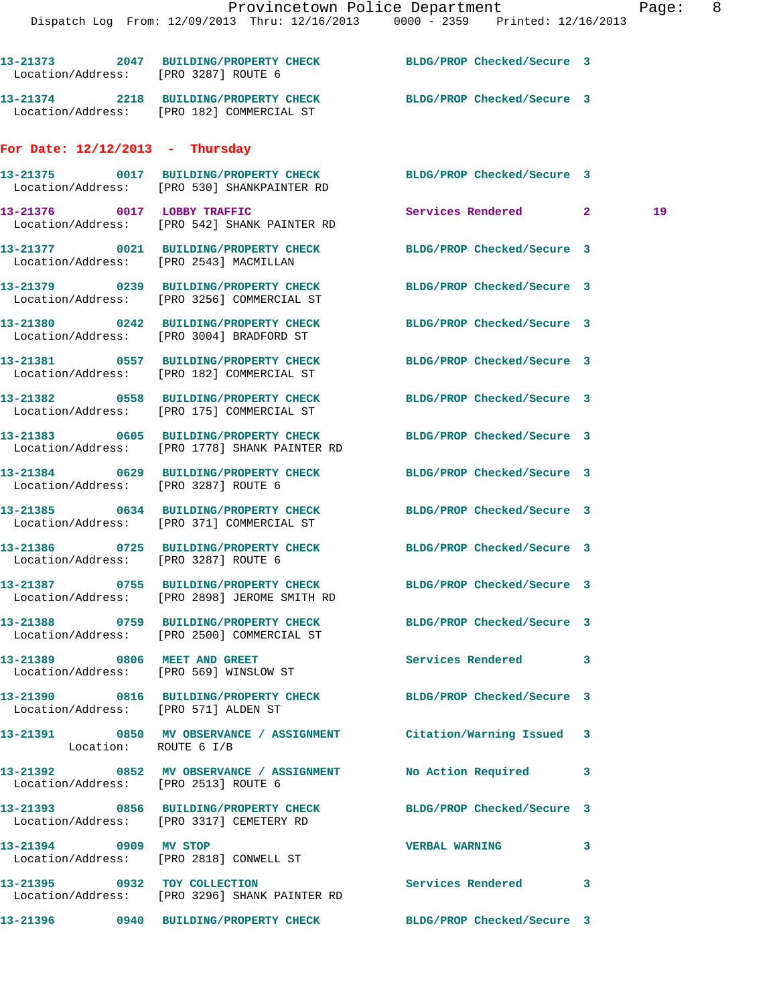|                                                                                    | Provincetown Police Department                                                 |                            |                     | Page |
|------------------------------------------------------------------------------------|--------------------------------------------------------------------------------|----------------------------|---------------------|------|
|                                                                                    | Dispatch Log From: 12/09/2013 Thru: 12/16/2013 0000 - 2359 Printed: 12/16/2013 |                            |                     |      |
| Location/Address: [PRO 3287] ROUTE 6                                               | 13-21373 2047 BUILDING/PROPERTY CHECK BLDG/PROP Checked/Secure 3               |                            |                     |      |
| Location/Address: [PRO 182] COMMERCIAL ST                                          | 13-21374 2218 BUILDING/PROPERTY CHECK BLDG/PROP Checked/Secure 3               |                            |                     |      |
| For Date: $12/12/2013$ - Thursday                                                  |                                                                                |                            |                     |      |
| Location/Address: [PRO 530] SHANKPAINTER RD                                        | 13-21375 0017 BUILDING/PROPERTY CHECK BLDG/PROP Checked/Secure 3               |                            |                     |      |
| 13-21376 0017 LOBBY TRAFFIC<br>Location/Address: [PRO 542] SHANK PAINTER RD        |                                                                                |                            | Services Rendered 2 | 19   |
| Location/Address: [PRO 2543] MACMILLAN                                             | 13-21377 0021 BUILDING/PROPERTY CHECK BLDG/PROP Checked/Secure 3               |                            |                     |      |
| Location/Address: [PRO 3256] COMMERCIAL ST                                         | 13-21379 0239 BUILDING/PROPERTY CHECK BLDG/PROP Checked/Secure 3               |                            |                     |      |
| 13-21380 0242 BUILDING/PROPERTY CHECK<br>Location/Address: [PRO 3004] BRADFORD ST  |                                                                                | BLDG/PROP Checked/Secure 3 |                     |      |
| Location/Address: [PRO 182] COMMERCIAL ST                                          | 13-21381 0557 BUILDING/PROPERTY CHECK BLDG/PROP Checked/Secure 3               |                            |                     |      |
| 13-21382 0558 BUILDING/PROPERTY CHECK<br>Location/Address: [PRO 175] COMMERCIAL ST |                                                                                | BLDG/PROP Checked/Secure 3 |                     |      |
| Location/Address: [PRO 1778] SHANK PAINTER RD                                      | 13-21383 0605 BUILDING/PROPERTY CHECK BLDG/PROP Checked/Secure 3               |                            |                     |      |
| Location/Address: [PRO 3287] ROUTE 6                                               | 13-21384 0629 BUILDING/PROPERTY CHECK BLDG/PROP Checked/Secure 3               |                            |                     |      |
|                                                                                    | 13-21385 0634 BUILDING/PROPERTY CHECK BLDG/PROP Checked/Secure 3               |                            |                     |      |

 Location/Address: [PRO 371] COMMERCIAL ST **13-21386 0725 BUILDING/PROPERTY CHECK BLDG/PROP Checked/Secure 3**  Location/Address: [PRO 3287] ROUTE 6

Location/Address: [PRO 2898] JEROME SMITH RD

Location/Address: [PRO 2500] COMMERCIAL ST

Location/Address: [PRO 569] WINSLOW ST

Location/Address: [PRO 571] ALDEN ST

Location: ROUTE 6 I/B

Location/Address: [PRO 2513] ROUTE 6

Location/Address: [PRO 3317] CEMETERY RD

Location/Address: [PRO 2818] CONWELL ST

Location/Address: [PRO 3296] SHANK PAINTER RD

**13-21396 0940 BUILDING/PROPERTY CHECK BLDG/PROP Checked/Secure 3** 

**13-21387 0755 BUILDING/PROPERTY CHECK BLDG/PROP Checked/Secure 3** 

**13-21388 0759 BUILDING/PROPERTY CHECK BLDG/PROP Checked/Secure 3** 

**13-21389 0806 MEET AND GREET Services Rendered 3** 

**13-21390 0816 BUILDING/PROPERTY CHECK BLDG/PROP Checked/Secure 3** 

**13-21391 0850 MV OBSERVANCE / ASSIGNMENT Citation/Warning Issued 3** 

**13-21392 0852 MV OBSERVANCE / ASSIGNMENT No Action Required 3** 

**13-21393 0856 BUILDING/PROPERTY CHECK BLDG/PROP Checked/Secure 3** 

**13-21394 0909 MV STOP VERBAL WARNING 3** 

**13-21395 0932 TOY COLLECTION Services Rendered 3**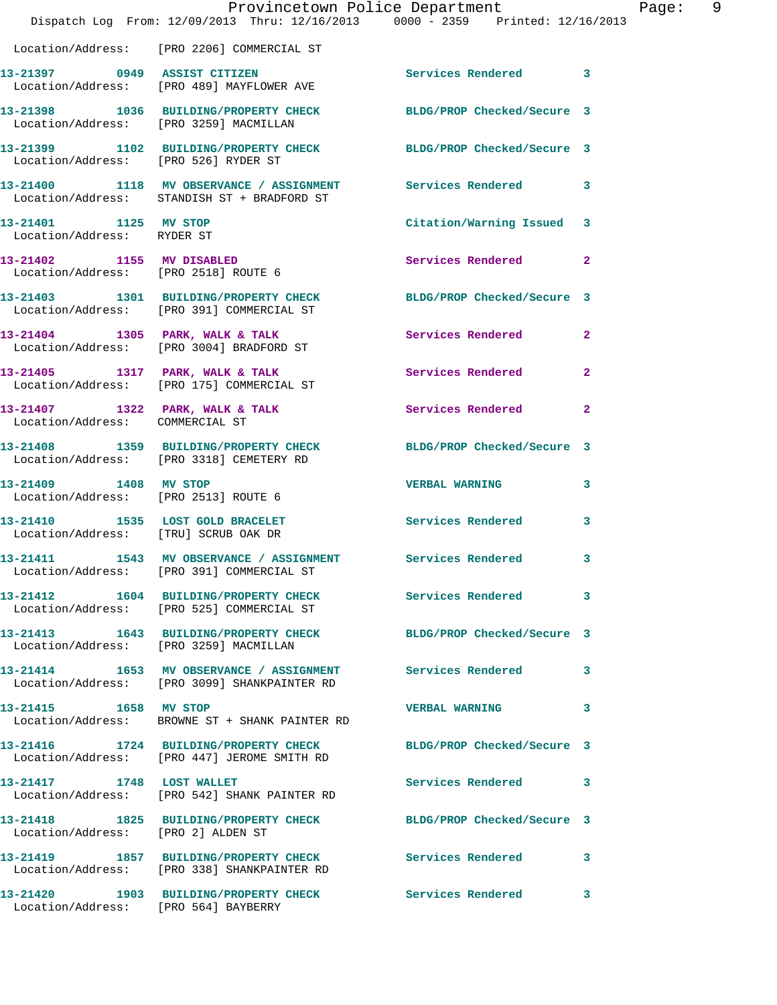|                                                                   | Dispatch Log From: 12/09/2013 Thru: 12/16/2013 0000 - 2359 Printed: 12/16/2013                                  | Provincetown Police Department |              | Page: | - 9 |
|-------------------------------------------------------------------|-----------------------------------------------------------------------------------------------------------------|--------------------------------|--------------|-------|-----|
|                                                                   | Location/Address: [PRO 2206] COMMERCIAL ST                                                                      |                                |              |       |     |
|                                                                   | 13-21397 0949 ASSIST CITIZEN<br>Location/Address: [PRO 489] MAYFLOWER AVE                                       | Services Rendered 3            |              |       |     |
| Location/Address: [PRO 3259] MACMILLAN                            | 13-21398 1036 BUILDING/PROPERTY CHECK BLDG/PROP Checked/Secure 3                                                |                                |              |       |     |
| Location/Address: [PRO 526] RYDER ST                              | 13-21399 1102 BUILDING/PROPERTY CHECK BLDG/PROP Checked/Secure 3                                                |                                |              |       |     |
|                                                                   | 13-21400 1118 MV OBSERVANCE / ASSIGNMENT Services Rendered 3<br>Location/Address: STANDISH ST + BRADFORD ST     |                                |              |       |     |
| 13-21401 1125 MV STOP<br>Location/Address: RYDER ST               |                                                                                                                 | Citation/Warning Issued 3      |              |       |     |
| 13-21402 1155 MV DISABLED<br>Location/Address: [PRO 2518] ROUTE 6 |                                                                                                                 | Services Rendered 2            |              |       |     |
|                                                                   | 13-21403 1301 BUILDING/PROPERTY CHECK BLDG/PROP Checked/Secure 3<br>Location/Address: [PRO 391] COMMERCIAL ST   |                                |              |       |     |
|                                                                   | 13-21404 1305 PARK, WALK & TALK<br>Location/Address: [PRO 3004] BRADFORD ST                                     | Services Rendered 2            |              |       |     |
|                                                                   | 13-21405 1317 PARK, WALK & TALK<br>Location/Address: [PRO 175] COMMERCIAL ST                                    | Services Rendered              | $\mathbf{2}$ |       |     |
| Location/Address: COMMERCIAL ST                                   | 13-21407 1322 PARK, WALK & TALK 1988 Services Rendered 2                                                        |                                |              |       |     |
|                                                                   | 13-21408 1359 BUILDING/PROPERTY CHECK BLDG/PROP Checked/Secure 3<br>Location/Address: [PRO 3318] CEMETERY RD    |                                |              |       |     |
| 13-21409 1408 MV STOP                                             | Location/Address: [PRO 2513] ROUTE 6                                                                            | VERBAL WARNING 3               |              |       |     |
| Location/Address: [TRU] SCRUB OAK DR                              | 13-21410 1535 LOST GOLD BRACELET                                                                                | Services Rendered              | $\mathbf{3}$ |       |     |
|                                                                   | 13-21411 1543 MV OBSERVANCE / ASSIGNMENT Services Rendered 3<br>Location/Address: [PRO 391] COMMERCIAL ST       |                                |              |       |     |
|                                                                   | 13-21412 1604 BUILDING/PROPERTY CHECK Services Rendered 3<br>Location/Address: [PRO 525] COMMERCIAL ST          |                                |              |       |     |
|                                                                   | 13-21413 1643 BUILDING/PROPERTY CHECK BLDG/PROP Checked/Secure 3<br>Location/Address: [PRO 3259] MACMILLAN      |                                |              |       |     |
|                                                                   | 13-21414 1653 MV OBSERVANCE / ASSIGNMENT Services Rendered 3<br>Location/Address: [PRO 3099] SHANKPAINTER RD    |                                |              |       |     |
|                                                                   | Location/Address: BROWNE ST + SHANK PAINTER RD                                                                  | <b>VERBAL WARNING</b>          | 3            |       |     |
|                                                                   | 13-21416 1724 BUILDING/PROPERTY CHECK BLDG/PROP Checked/Secure 3<br>Location/Address: [PRO 447] JEROME SMITH RD |                                |              |       |     |
|                                                                   | 13-21417 1748 LOST WALLET<br>Location/Address: [PRO 542] SHANK PAINTER RD                                       | Services Rendered 3            |              |       |     |
| Location/Address: [PRO 2] ALDEN ST                                | 13-21418 1825 BUILDING/PROPERTY CHECK BLDG/PROP Checked/Secure 3                                                |                                |              |       |     |
|                                                                   | 13-21419 1857 BUILDING/PROPERTY CHECK Services Rendered 3<br>Location/Address: [PRO 338] SHANKPAINTER RD        |                                |              |       |     |
| Location/Address: [PRO 564] BAYBERRY                              | 13-21420 1903 BUILDING/PROPERTY CHECK Services Rendered 3                                                       |                                |              |       |     |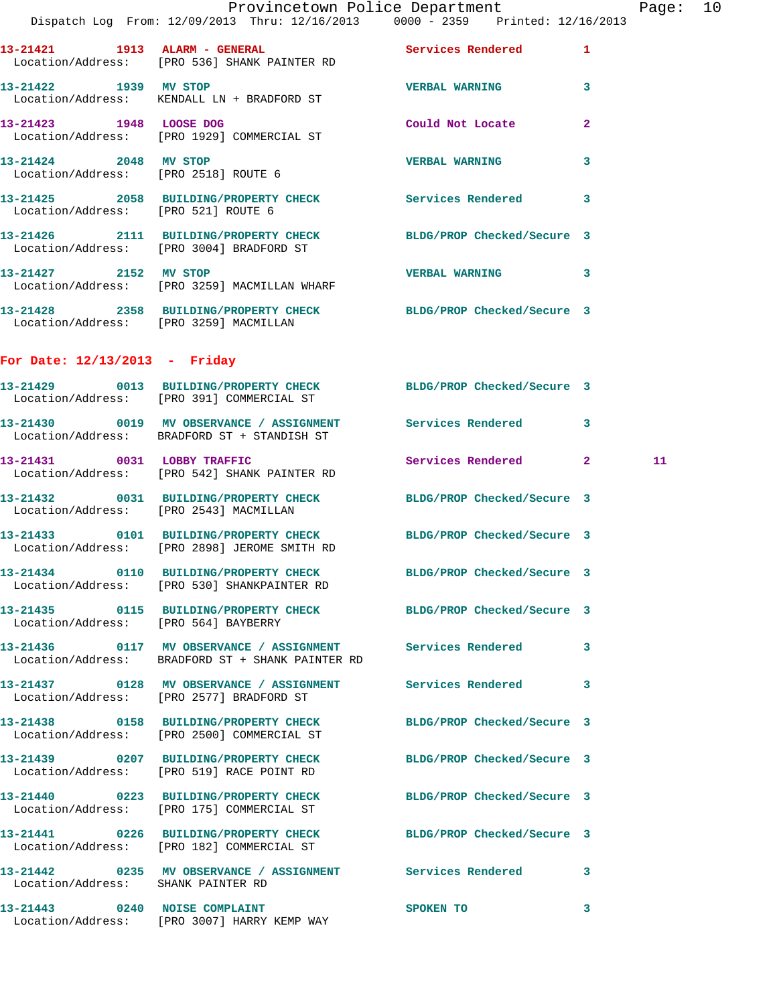|                                   |  | Provincetown Police Department |             |                |  |
|-----------------------------------|--|--------------------------------|-------------|----------------|--|
| From: 12/09/2013 Thru: 12/16/2013 |  |                                | 0000 - 2359 | Printed: 12/10 |  |

|                                      | Provincetown Police Department<br>Dispatch Log From: 12/09/2013 Thru: 12/16/2013 0000 - 2359 Printed: 12/16/2013       |                            |              | Page: 10 |  |
|--------------------------------------|------------------------------------------------------------------------------------------------------------------------|----------------------------|--------------|----------|--|
|                                      | 13-21421 1913 ALARM - GENERAL Services Rendered 1<br>Location/Address: [PRO 536] SHANK PAINTER RD                      |                            |              |          |  |
| 13-21422 1939 MV STOP                | Location/Address: KENDALL LN + BRADFORD ST                                                                             | VERBAL WARNING 3           |              |          |  |
|                                      | 13-21423 1948 LOOSE DOG<br>Location/Address: [PRO 1929] COMMERCIAL ST                                                  | Could Not Locate           | $\mathbf{2}$ |          |  |
| 13-21424 2048 MV STOP                | Location/Address: [PRO 2518] ROUTE 6                                                                                   | <b>VERBAL WARNING</b>      | $\mathbf{3}$ |          |  |
|                                      | 13-21425 2058 BUILDING/PROPERTY CHECK Services Rendered 3<br>Location/Address: [PRO 521] ROUTE 6                       |                            |              |          |  |
|                                      | 13-21426 2111 BUILDING/PROPERTY CHECK BLDG/PROP Checked/Secure 3<br>Location/Address: [PRO 3004] BRADFORD ST           |                            |              |          |  |
|                                      | 13-21427 2152 MV STOP<br>Location/Address: [PRO 3259] MACMILLAN WHARF                                                  | VERBAL WARNING 3           |              |          |  |
|                                      | 13-21428 2358 BUILDING/PROPERTY CHECK BLDG/PROP Checked/Secure 3<br>Location/Address: [PRO 3259] MACMILLAN             |                            |              |          |  |
| For Date: $12/13/2013$ - Friday      |                                                                                                                        |                            |              |          |  |
|                                      | 13-21429 0013 BUILDING/PROPERTY CHECK BLDG/PROP Checked/Secure 3<br>Location/Address: [PRO 391] COMMERCIAL ST          |                            |              |          |  |
|                                      | 13-21430 0019 MV OBSERVANCE / ASSIGNMENT Services Rendered 3<br>Location/Address: BRADFORD ST + STANDISH ST            |                            |              |          |  |
|                                      | 13-21431 0031 LOBBY TRAFFIC<br>Location/Address: [PRO 542] SHANK PAINTER RD                                            | Services Rendered 2        |              | 11       |  |
|                                      | 13-21432 0031 BUILDING/PROPERTY CHECK BLDG/PROP Checked/Secure 3<br>Location/Address: [PRO 2543] MACMILLAN             |                            |              |          |  |
|                                      | 13-21433 0101 BUILDING/PROPERTY CHECK BLDG/PROP Checked/Secure 3<br>Location/Address: [PRO 2898] JEROME SMITH RD       |                            |              |          |  |
|                                      | 13-21434 0110 BUILDING/PROPERTY CHECK<br>Location/Address: [PRO 530] SHANKPAINTER RD                                   | BLDG/PROP Checked/Secure 3 |              |          |  |
| Location/Address: [PRO 564] BAYBERRY | 13-21435 0115 BUILDING/PROPERTY CHECK BLDG/PROP Checked/Secure 3                                                       |                            |              |          |  |
|                                      | 13-21436   0117 MV OBSERVANCE / ASSIGNMENT   Services Rendered   3<br>Location/Address: BRADFORD ST + SHANK PAINTER RD |                            |              |          |  |
|                                      | 13-21437 0128 MV OBSERVANCE / ASSIGNMENT Services Rendered 3<br>Location/Address: [PRO 2577] BRADFORD ST               |                            |              |          |  |
|                                      | 13-21438 0158 BUILDING/PROPERTY CHECK BLDG/PROP Checked/Secure 3<br>Location/Address: [PRO 2500] COMMERCIAL ST         |                            |              |          |  |
|                                      | 13-21439 0207 BUILDING/PROPERTY CHECK BLDG/PROP Checked/Secure 3<br>Location/Address: [PRO 519] RACE POINT RD          |                            |              |          |  |
|                                      | 13-21440 0223 BUILDING/PROPERTY CHECK BLDG/PROP Checked/Secure 3<br>Location/Address: [PRO 175] COMMERCIAL ST          |                            |              |          |  |
|                                      | 13-21441 0226 BUILDING/PROPERTY CHECK BLDG/PROP Checked/Secure 3<br>Location/Address: [PRO 182] COMMERCIAL ST          |                            |              |          |  |
| Location/Address: SHANK PAINTER RD   | 13-21442 0235 MV OBSERVANCE / ASSIGNMENT Services Rendered 3                                                           |                            |              |          |  |
|                                      | 13-21443 0240 NOISE COMPLAINT<br>Location/Address: [PRO 3007] HARRY KEMP WAY                                           | SPOKEN TO                  | 3            |          |  |
|                                      |                                                                                                                        |                            |              |          |  |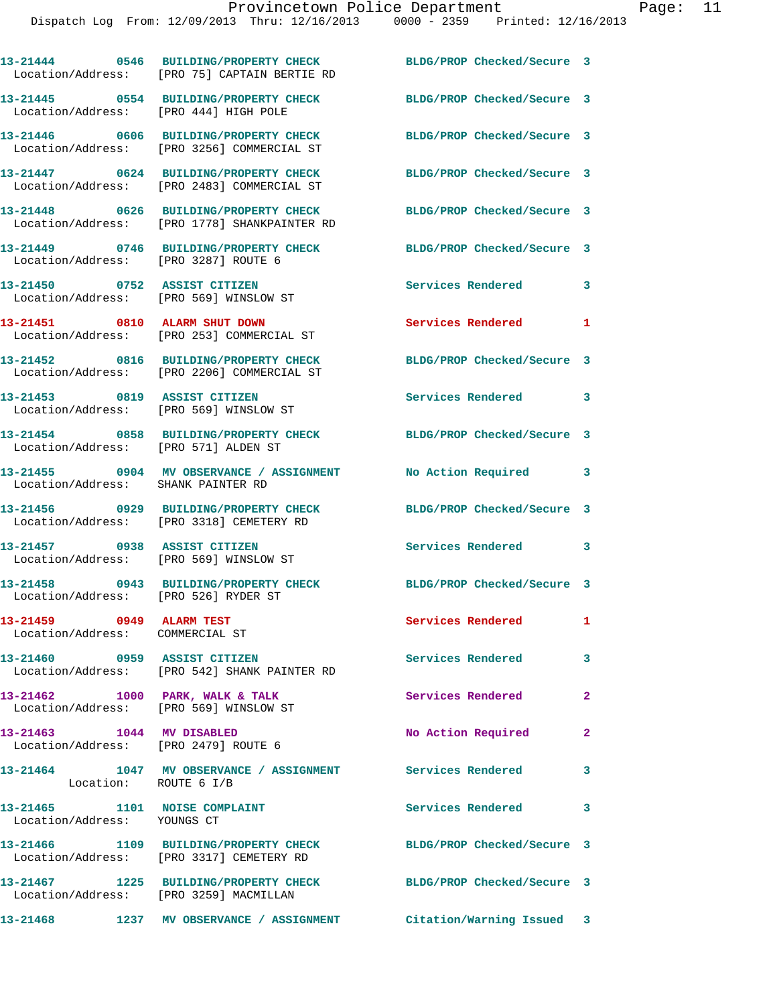|                                                                           | 13-21444 0546 BUILDING/PROPERTY CHECK<br>Location/Address: [PRO 75] CAPTAIN BERTIE RD | BLDG/PROP Checked/Secure 3 |                |
|---------------------------------------------------------------------------|---------------------------------------------------------------------------------------|----------------------------|----------------|
| Location/Address: [PRO 444] HIGH POLE                                     | 13-21445 0554 BUILDING/PROPERTY CHECK                                                 | BLDG/PROP Checked/Secure 3 |                |
|                                                                           | 13-21446 0606 BUILDING/PROPERTY CHECK<br>Location/Address: [PRO 3256] COMMERCIAL ST   | BLDG/PROP Checked/Secure 3 |                |
|                                                                           | 13-21447 0624 BUILDING/PROPERTY CHECK<br>Location/Address: [PRO 2483] COMMERCIAL ST   | BLDG/PROP Checked/Secure 3 |                |
| Location/Address:                                                         | 13-21448 0626 BUILDING/PROPERTY CHECK<br>[PRO 1778] SHANKPAINTER RD                   | BLDG/PROP Checked/Secure 3 |                |
| Location/Address: [PRO 3287] ROUTE 6                                      | 13-21449 0746 BUILDING/PROPERTY CHECK                                                 | BLDG/PROP Checked/Secure 3 |                |
| 13-21450 0752 ASSIST CITIZEN<br>Location/Address: [PRO 569] WINSLOW ST    |                                                                                       | Services Rendered          | 3              |
| 13-21451 0810 ALARM SHUT DOWN                                             | Location/Address: [PRO 253] COMMERCIAL ST                                             | Services Rendered 1        |                |
|                                                                           | 13-21452 0816 BUILDING/PROPERTY CHECK<br>Location/Address: [PRO 2206] COMMERCIAL ST   | BLDG/PROP Checked/Secure 3 |                |
| 13-21453 0819 ASSIST CITIZEN                                              | Location/Address: [PRO 569] WINSLOW ST                                                | Services Rendered 3        |                |
| Location/Address: [PRO 571] ALDEN ST                                      | 13-21454 0858 BUILDING/PROPERTY CHECK BLDG/PROP Checked/Secure 3                      |                            |                |
| Location/Address: SHANK PAINTER RD                                        | 13-21455 0904 MV OBSERVANCE / ASSIGNMENT                                              | No Action Required         | 3              |
|                                                                           | 13-21456 0929 BUILDING/PROPERTY CHECK<br>Location/Address: [PRO 3318] CEMETERY RD     | BLDG/PROP Checked/Secure 3 |                |
| 13-21457 0938 ASSIST CITIZEN                                              | Location/Address: [PRO 569] WINSLOW ST                                                | Services Rendered          | 3              |
| Location/Address: [PRO 526] RYDER ST                                      | 13-21458 0943 BUILDING/PROPERTY CHECK                                                 | BLDG/PROP Checked/Secure 3 |                |
| 13-21459 0949 ALARM TEST<br>Location/Address: COMMERCIAL ST               |                                                                                       | Services Rendered 1        |                |
| 13-21460 0959 ASSIST CITIZEN                                              | Location/Address: [PRO 542] SHANK PAINTER RD                                          | Services Rendered          | 3              |
| 13-21462 1000 PARK, WALK & TALK<br>Location/Address: [PRO 569] WINSLOW ST |                                                                                       | Services Rendered          | $\overline{2}$ |
| 13-21463 1044 MV DISABLED<br>Location/Address: [PRO 2479] ROUTE 6         |                                                                                       | No Action Required         | $\mathbf{2}$   |
| Location: ROUTE 6 I/B                                                     | 13-21464 1047 MV OBSERVANCE / ASSIGNMENT                                              | <b>Services Rendered</b>   | 3              |
| 13-21465 1101 NOISE COMPLAINT<br>Location/Address: YOUNGS CT              |                                                                                       | Services Rendered          | 3              |
|                                                                           | 13-21466 1109 BUILDING/PROPERTY CHECK<br>Location/Address: [PRO 3317] CEMETERY RD     | BLDG/PROP Checked/Secure 3 |                |
| Location/Address: [PRO 3259] MACMILLAN                                    | 13-21467 1225 BUILDING/PROPERTY CHECK                                                 | BLDG/PROP Checked/Secure 3 |                |
|                                                                           | 13-21468 1237 MV OBSERVANCE / ASSIGNMENT Citation/Warning Issued 3                    |                            |                |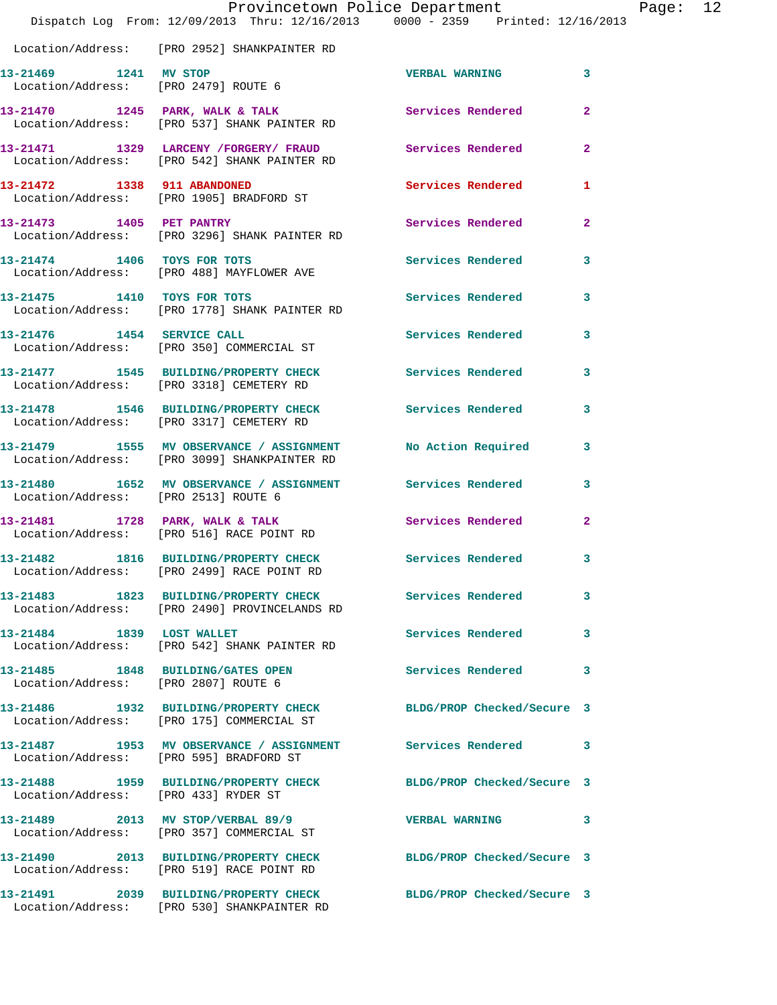|                                         | Provincetown Police Department<br>Dispatch Log From: 12/09/2013 Thru: 12/16/2013 0000 - 2359 Printed: 12/16/2013 |                            |                |
|-----------------------------------------|------------------------------------------------------------------------------------------------------------------|----------------------------|----------------|
|                                         | Location/Address: [PRO 2952] SHANKPAINTER RD                                                                     |                            |                |
| 13-21469 1241 MV STOP                   | Location/Address: [PRO 2479] ROUTE 6                                                                             | <b>VERBAL WARNING</b>      | 3              |
|                                         | 13-21470 1245 PARK, WALK & TALK 1988 Services Rendered<br>Location/Address: [PRO 537] SHANK PAINTER RD           |                            | $\mathbf{2}$   |
|                                         | 13-21471 1329 LARCENY /FORGERY/ FRAUD<br>Location/Address: [PRO 542] SHANK PAINTER RD                            | Services Rendered          | 2              |
| 13-21472 1338 911 ABANDONED             | Location/Address: [PRO 1905] BRADFORD ST                                                                         | <b>Services Rendered</b>   | 1              |
| 13-21473 1405 PET PANTRY                | Location/Address: [PRO 3296] SHANK PAINTER RD                                                                    | <b>Services Rendered</b>   | $\overline{a}$ |
|                                         | 13-21474 1406 TOYS FOR TOTS<br>Location/Address: [PRO 488] MAYFLOWER AVE                                         | <b>Services Rendered</b>   | 3              |
| 13-21475 1410 TOYS FOR TOTS             | Location/Address: [PRO 1778] SHANK PAINTER RD                                                                    | Services Rendered          | 3              |
| 13-21476   1454   SERVICE CALL          | Location/Address: [PRO 350] COMMERCIAL ST                                                                        | Services Rendered          | 3              |
|                                         | 13-21477 1545 BUILDING/PROPERTY CHECK Services Rendered<br>Location/Address: [PRO 3318] CEMETERY RD              |                            | 3              |
|                                         | 13-21478 1546 BUILDING/PROPERTY CHECK<br>Location/Address: [PRO 3317] CEMETERY RD                                | Services Rendered          | 3              |
|                                         | 13-21479 1555 MV OBSERVANCE / ASSIGNMENT<br>Location/Address: [PRO 3099] SHANKPAINTER RD                         | No Action Required         | 3              |
|                                         | 13-21480   1652 MV OBSERVANCE / ASSIGNMENT   Services Rendered<br>Location/Address: [PRO 2513] ROUTE 6           |                            | 3              |
|                                         | 13-21481 1728 PARK, WALK & TALK<br>Location/Address: [PRO 516] RACE POINT RD                                     | <b>Services Rendered</b>   | $\mathbf{2}$   |
|                                         | 13-21482 1816 BUILDING/PROPERTY CHECK<br>Location/Address: [PRO 2499] RACE POINT RD                              | Services Rendered          | 3              |
|                                         | 13-21483 1823 BUILDING/PROPERTY CHECK Services Rendered<br>Location/Address: [PRO 2490] PROVINCELANDS RD         |                            | 3              |
| 13-21484 1839 LOST WALLET               | Location/Address: [PRO 542] SHANK PAINTER RD                                                                     | <b>Services Rendered</b>   | 3              |
| Location/Address: [PRO 2807] ROUTE 6    | 13-21485 1848 BUILDING/GATES OPEN                                                                                | <b>Services Rendered</b>   | 3              |
|                                         | 13-21486 1932 BUILDING/PROPERTY CHECK<br>Location/Address: [PRO 175] COMMERCIAL ST                               | BLDG/PROP Checked/Secure 3 |                |
| Location/Address: [PRO 595] BRADFORD ST | 13-21487 1953 MV OBSERVANCE / ASSIGNMENT Services Rendered                                                       |                            | 3              |
| Location/Address: [PRO 433] RYDER ST    | 13-21488 1959 BUILDING/PROPERTY CHECK BLDG/PROP Checked/Secure 3                                                 |                            |                |
|                                         | 13-21489 2013 MV STOP/VERBAL 89/9<br>Location/Address: [PRO 357] COMMERCIAL ST                                   | <b>VERBAL WARNING</b>      | 3              |
|                                         | 13-21490 2013 BUILDING/PROPERTY CHECK<br>Location/Address: [PRO 519] RACE POINT RD                               | BLDG/PROP Checked/Secure 3 |                |
|                                         | 13-21491 2039 BUILDING/PROPERTY CHECK<br>Location/Address: [PRO 530] SHANKPAINTER RD                             | BLDG/PROP Checked/Secure 3 |                |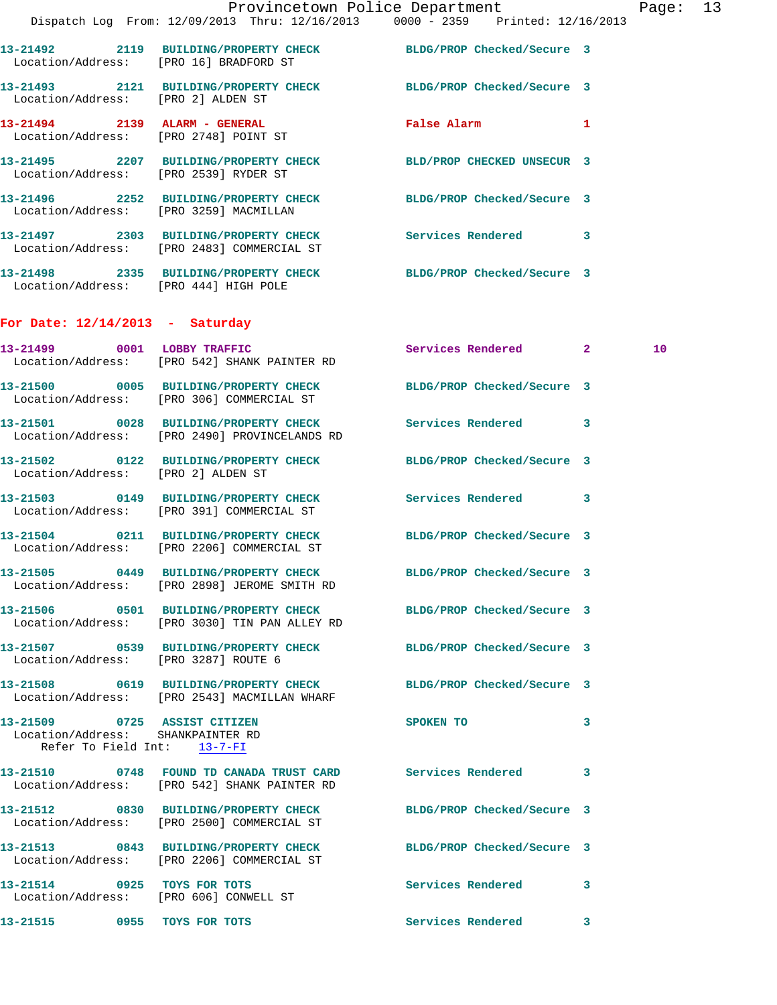|                                                                                                  | Dispatch Log From: 12/09/2013 Thru: 12/16/2013 0000 - 2359 Printed: 12/16/2013                                    | Provincetown Police Department |              | Page: 13 |  |
|--------------------------------------------------------------------------------------------------|-------------------------------------------------------------------------------------------------------------------|--------------------------------|--------------|----------|--|
| Location/Address: [PRO 16] BRADFORD ST                                                           | 13-21492 2119 BUILDING/PROPERTY CHECK BLDG/PROP Checked/Secure 3                                                  |                                |              |          |  |
| Location/Address: [PRO 2] ALDEN ST                                                               | 13-21493 2121 BUILDING/PROPERTY CHECK BLDG/PROP Checked/Secure 3                                                  |                                |              |          |  |
|                                                                                                  | 13-21494 2139 ALARM - GENERAL<br>Location/Address: [PRO 2748] POINT ST                                            | False Alarm 1                  |              |          |  |
|                                                                                                  | 13-21495 2207 BUILDING/PROPERTY CHECK BLD/PROP CHECKED UNSECUR 3<br>Location/Address: [PRO 2539] RYDER ST         |                                |              |          |  |
|                                                                                                  | 13-21496 2252 BUILDING/PROPERTY CHECK<br>Location/Address: [PRO 3259] MACMILLAN                                   | BLDG/PROP Checked/Secure 3     |              |          |  |
|                                                                                                  | 13-21497 2303 BUILDING/PROPERTY CHECK Services Rendered<br>Location/Address: [PRO 2483] COMMERCIAL ST             |                                | 3            |          |  |
| Location/Address: [PRO 444] HIGH POLE                                                            | 13-21498 2335 BUILDING/PROPERTY CHECK BLDG/PROP Checked/Secure 3                                                  |                                |              |          |  |
| For Date: $12/14/2013$ - Saturday                                                                |                                                                                                                   |                                |              |          |  |
|                                                                                                  | 13-21499 0001 LOBBY TRAFFIC<br>Location/Address: [PRO 542] SHANK PAINTER RD                                       | Services Rendered 2            |              | 10       |  |
|                                                                                                  | 13-21500 0005 BUILDING/PROPERTY CHECK BLDG/PROP Checked/Secure 3<br>Location/Address: [PRO 306] COMMERCIAL ST     |                                |              |          |  |
|                                                                                                  | 13-21501 0028 BUILDING/PROPERTY CHECK Services Rendered 3<br>Location/Address: [PRO 2490] PROVINCELANDS RD        |                                |              |          |  |
| Location/Address: [PRO 2] ALDEN ST                                                               | 13-21502 0122 BUILDING/PROPERTY CHECK BLDG/PROP Checked/Secure 3                                                  |                                |              |          |  |
|                                                                                                  | 13-21503 0149 BUILDING/PROPERTY CHECK Services Rendered 3<br>Location/Address: [PRO 391] COMMERCIAL ST            |                                |              |          |  |
|                                                                                                  | 13-21504 0211 BUILDING/PROPERTY CHECK BLDG/PROP Checked/Secure 3<br>Location/Address: [PRO 2206] COMMERCIAL ST    |                                |              |          |  |
|                                                                                                  | 13-21505 0449 BUILDING/PROPERTY CHECK<br>Location/Address: [PRO 2898] JEROME SMITH RD                             | BLDG/PROP Checked/Secure 3     |              |          |  |
|                                                                                                  | 13-21506 0501 BUILDING/PROPERTY CHECK BLDG/PROP Checked/Secure 3<br>Location/Address: [PRO 3030] TIN PAN ALLEY RD |                                |              |          |  |
| Location/Address: [PRO 3287] ROUTE 6                                                             | 13-21507 0539 BUILDING/PROPERTY CHECK BLDG/PROP Checked/Secure 3                                                  |                                |              |          |  |
|                                                                                                  | 13-21508 0619 BUILDING/PROPERTY CHECK BLDG/PROP Checked/Secure 3<br>Location/Address: [PRO 2543] MACMILLAN WHARF  |                                |              |          |  |
| 13-21509 0725 ASSIST CITIZEN<br>Location/Address: SHANKPAINTER RD<br>Refer To Field Int: 13-7-FI |                                                                                                                   | SPOKEN TO                      | 3            |          |  |
|                                                                                                  | 13-21510 0748 FOUND TD CANADA TRUST CARD Services Rendered<br>Location/Address: [PRO 542] SHANK PAINTER RD        |                                | 3            |          |  |
|                                                                                                  | 13-21512 0830 BUILDING/PROPERTY CHECK BLDG/PROP Checked/Secure 3<br>Location/Address: [PRO 2500] COMMERCIAL ST    |                                |              |          |  |
|                                                                                                  | 13-21513 0843 BUILDING/PROPERTY CHECK BLDG/PROP Checked/Secure 3<br>Location/Address: [PRO 2206] COMMERCIAL ST    |                                |              |          |  |
| 13-21514 0925 TOYS FOR TOTS                                                                      | Location/Address: [PRO 606] CONWELL ST                                                                            | Services Rendered              | 3            |          |  |
| 13-21515 0955 TOYS FOR TOTS                                                                      |                                                                                                                   | Services Rendered              | $\mathbf{3}$ |          |  |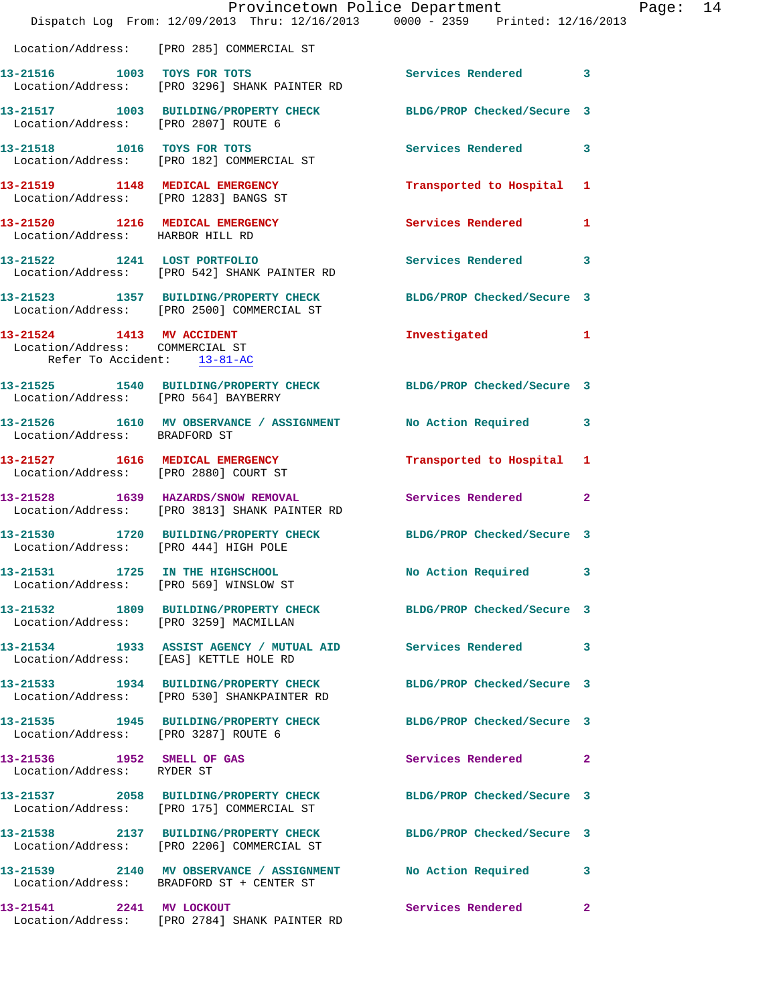|                                                                                             | Provincetown Police Department<br>Dispatch Log From: 12/09/2013 Thru: 12/16/2013 0000 - 2359 Printed: 12/16/2013 |                            |                         |
|---------------------------------------------------------------------------------------------|------------------------------------------------------------------------------------------------------------------|----------------------------|-------------------------|
|                                                                                             | Location/Address: [PRO 285] COMMERCIAL ST                                                                        |                            |                         |
|                                                                                             | 13-21516 1003 TOYS FOR TOTS<br>Location/Address: [PRO 3296] SHANK PAINTER RD                                     | Services Rendered          | 3                       |
| Location/Address: [PRO 2807] ROUTE 6                                                        | 13-21517 1003 BUILDING/PROPERTY CHECK BLDG/PROP Checked/Secure 3                                                 |                            |                         |
|                                                                                             | 13-21518 1016 TOYS FOR TOTS<br>Location/Address: [PRO 182] COMMERCIAL ST                                         | <b>Services Rendered</b>   | 3                       |
| Location/Address: [PRO 1283] BANGS ST                                                       | 13-21519 1148 MEDICAL EMERGENCY                                                                                  | Transported to Hospital    | 1                       |
| 13-21520 1216 MEDICAL EMERGENCY<br>Location/Address: HARBOR HILL RD                         |                                                                                                                  | Services Rendered          | 1                       |
|                                                                                             | 13-21522 1241 LOST PORTFOLIO<br>Location/Address: [PRO 542] SHANK PAINTER RD                                     | <b>Services Rendered</b>   | 3                       |
|                                                                                             | 13-21523 1357 BUILDING/PROPERTY CHECK<br>Location/Address: [PRO 2500] COMMERCIAL ST                              | BLDG/PROP Checked/Secure 3 |                         |
| 13-21524 1413 MV ACCIDENT<br>Location/Address: COMMERCIAL ST<br>Refer To Accident: 13-81-AC |                                                                                                                  | Investigated               | 1                       |
| Location/Address: [PRO 564] BAYBERRY                                                        | 13-21525 1540 BUILDING/PROPERTY CHECK BLDG/PROP Checked/Secure 3                                                 |                            |                         |
|                                                                                             | 13-21526 1610 MV OBSERVANCE / ASSIGNMENT<br>Location/Address: BRADFORD ST                                        | No Action Required         | 3                       |
|                                                                                             | 13-21527 1616 MEDICAL EMERGENCY<br>Location/Address: [PRO 2880] COURT ST                                         | Transported to Hospital    | 1                       |
|                                                                                             | 13-21528 1639 HAZARDS/SNOW REMOVAL<br>Location/Address: [PRO 3813] SHANK PAINTER RD                              | Services Rendered          | $\overline{2}$          |
| Location/Address: [PRO 444] HIGH POLE                                                       | 13-21530 1720 BUILDING/PROPERTY CHECK BLDG/PROP Checked/Secure 3                                                 |                            |                         |
|                                                                                             | 13-21531 1725 IN THE HIGHSCHOOL<br>Location/Address: [PRO 569] WINSLOW ST                                        | No Action Required         | 3                       |
| Location/Address: [PRO 3259] MACMILLAN                                                      | 13-21532 1809 BUILDING/PROPERTY CHECK                                                                            | BLDG/PROP Checked/Secure 3 |                         |
|                                                                                             | 13-21534 1933 ASSIST AGENCY / MUTUAL AID Services Rendered<br>Location/Address: [EAS] KETTLE HOLE RD             |                            | 3                       |
|                                                                                             | 13-21533 1934 BUILDING/PROPERTY CHECK<br>Location/Address: [PRO 530] SHANKPAINTER RD                             | BLDG/PROP Checked/Secure 3 |                         |
| Location/Address: [PRO 3287] ROUTE 6                                                        | 13-21535 1945 BUILDING/PROPERTY CHECK                                                                            | BLDG/PROP Checked/Secure 3 |                         |
| 13-21536 1952 SMELL OF GAS<br>Location/Address: RYDER ST                                    |                                                                                                                  | Services Rendered          | $\mathbf{2}$            |
|                                                                                             | 13-21537 2058 BUILDING/PROPERTY CHECK<br>Location/Address: [PRO 175] COMMERCIAL ST                               | BLDG/PROP Checked/Secure 3 |                         |
|                                                                                             | 13-21538 2137 BUILDING/PROPERTY CHECK<br>Location/Address: [PRO 2206] COMMERCIAL ST                              | BLDG/PROP Checked/Secure 3 |                         |
|                                                                                             | 13-21539 2140 MV OBSERVANCE / ASSIGNMENT<br>Location/Address: BRADFORD ST + CENTER ST                            | No Action Required         | 3                       |
| 13-21541 2241 MV LOCKOUT                                                                    | Location/Address: [PRO 2784] SHANK PAINTER RD                                                                    | Services Rendered          | $\overline{\mathbf{2}}$ |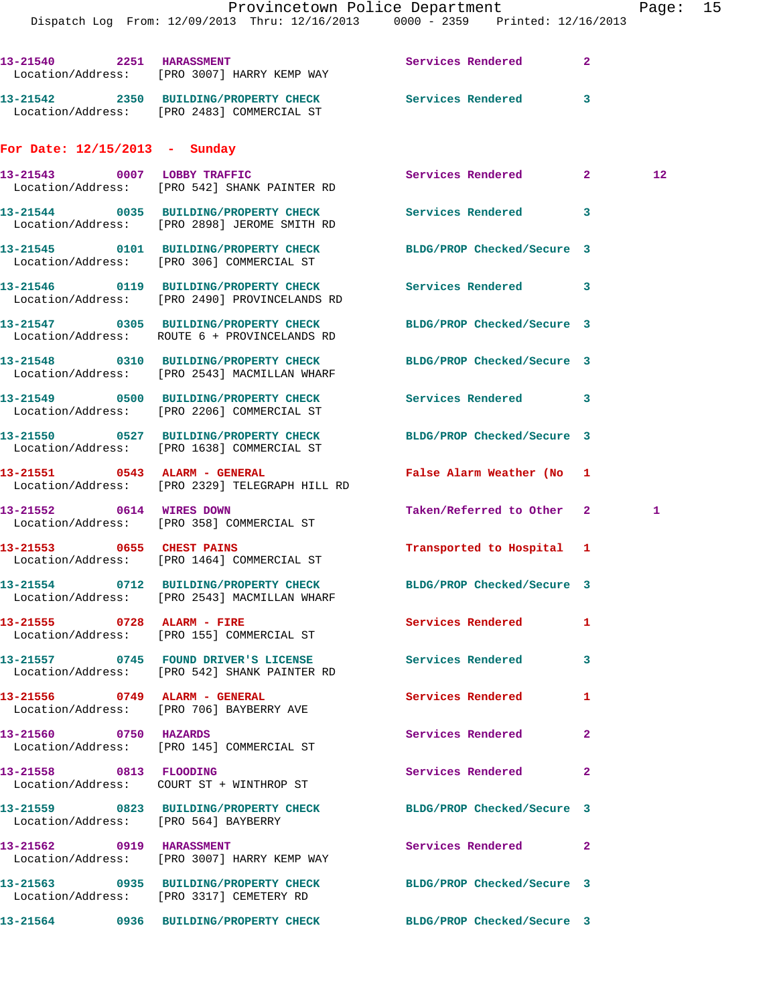Dispatch Log From: 12/09/2013 Thru: 12/16/2013 0000 - 2359 Printed: 12/16/2013

| 13-21540<br>2251<br>Location/Address: | <b>HARASSMENT</b><br>[PRO 3007] HARRY KEMP WAY             | Services Rendered | 2              |                 |
|---------------------------------------|------------------------------------------------------------|-------------------|----------------|-----------------|
| 2350<br>13-21542<br>Location/Address: | <b>BUILDING/PROPERTY CHECK</b><br>[PRO 2483] COMMERCIAL ST | Services Rendered | 3              |                 |
| For Date: $12/15/2013$ -              | Sunday                                                     |                   |                |                 |
| 0007<br>13-21543<br>Location/Address: | LOBBY TRAFFIC<br>[PRO 542] SHANK PAINTER RD                | Services Rendered | $\overline{2}$ | 12 <sup>°</sup> |
| 0035<br>13-21544                      | <b>BUILDING/PROPERTY CHECK</b>                             | Services Rendered | 3              |                 |

**13-21545 0101 BUILDING/PROPERTY CHECK BLDG/PROP Checked/Secure 3**  Location/Address: [PRO 306] COMMERCIAL ST

**13-21546 0119 BUILDING/PROPERTY CHECK Services Rendered 3**  Location/Address: [PRO 2490] PROVINCELANDS RD

Location/Address: [PRO 2898] JEROME SMITH RD

**13-21547 0305 BUILDING/PROPERTY CHECK BLDG/PROP Checked/Secure 3**  Location/Address: ROUTE 6 + PROVINCELANDS RD

Location/Address: [PRO 2543] MACMILLAN WHARF

Location/Address: [PRO 2206] COMMERCIAL ST

Location/Address: [PRO 1638] COMMERCIAL ST

Location/Address: [PRO 564] BAYBERRY

Location/Address: [PRO 3007] HARRY KEMP WAY

**13-21551 0543 ALARM - GENERAL False Alarm Weather (No 1**  Location/Address: [PRO 2329] TELEGRAPH HILL RD **13-21552 0614 WIRES DOWN Taken/Referred to Other 2 1**  Location/Address: [PRO 358] COMMERCIAL ST

Location/Address: [PRO 1464] COMMERCIAL ST

**13-21554 0712 BUILDING/PROPERTY CHECK BLDG/PROP Checked/Secure 3**  Location/Address: [PRO 2543] MACMILLAN WHARF

Location/Address: [PRO 155] COMMERCIAL ST

Location/Address: [PRO 542] SHANK PAINTER RD

Location/Address: [PRO 706] BAYBERRY AVE

Location/Address: [PRO 145] COMMERCIAL ST

Location/Address: COURT ST + WINTHROP ST

**13-21563 0935 BUILDING/PROPERTY CHECK BLDG/PROP Checked/Secure 3**  Location/Address: [PRO 3317] CEMETERY RD

**13-21548 0310 BUILDING/PROPERTY CHECK BLDG/PROP Checked/Secure 3** 

**13-21549 0500 BUILDING/PROPERTY CHECK Services Rendered 3** 

**13-21550 0527 BUILDING/PROPERTY CHECK BLDG/PROP Checked/Secure 3** 

**13-21553 0655 CHEST PAINS Transported to Hospital 1** 

**13-21555 0728 ALARM - FIRE Services Rendered 1** 

**13-21557 0745 FOUND DRIVER'S LICENSE Services Rendered 3** 

**13-21556 0749 ALARM - GENERAL Services Rendered 1** 

**13-21560 0750 HAZARDS Services Rendered 2** 

**13-21558 0813 FLOODING Services Rendered 2** 

**13-21559 0823 BUILDING/PROPERTY CHECK BLDG/PROP Checked/Secure 3** 

**13-21562 0919 HARASSMENT Services Rendered 2** 

**13-21564 0936 BUILDING/PROPERTY CHECK BLDG/PROP Checked/Secure 3**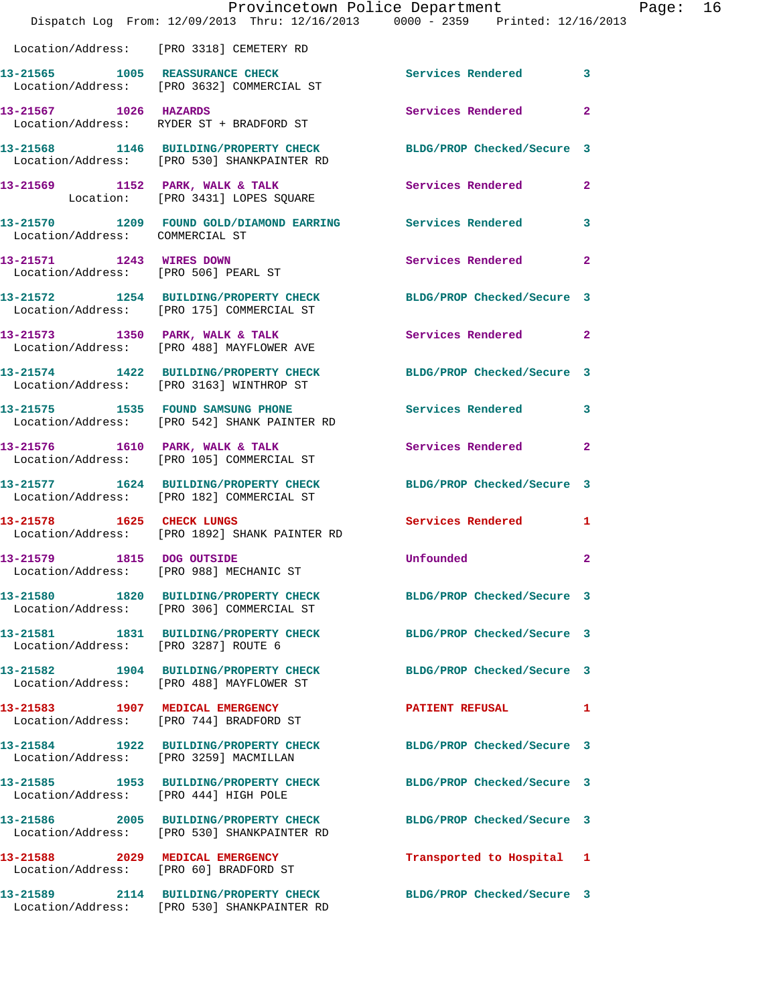|                                                                  | Provincetown Police Department<br>Dispatch Log From: 12/09/2013 Thru: 12/16/2013 0000 - 2359 Printed: 12/16/2013 |                            |                         |
|------------------------------------------------------------------|------------------------------------------------------------------------------------------------------------------|----------------------------|-------------------------|
|                                                                  | Location/Address: [PRO 3318] CEMETERY RD                                                                         |                            |                         |
|                                                                  | 13-21565 1005 REASSURANCE CHECK<br>Location/Address: [PRO 3632] COMMERCIAL ST                                    | <b>Services Rendered</b>   | 3                       |
| 13-21567 1026 HAZARDS                                            | Location/Address: RYDER ST + BRADFORD ST                                                                         | Services Rendered          | $\overline{2}$          |
|                                                                  | 13-21568 1146 BUILDING/PROPERTY CHECK<br>Location/Address: [PRO 530] SHANKPAINTER RD                             | BLDG/PROP Checked/Secure 3 |                         |
|                                                                  | 13-21569 1152 PARK, WALK & TALK<br>Location: [PRO 3431] LOPES SQUARE                                             | Services Rendered          | 2                       |
|                                                                  | 13-21570 1209 FOUND GOLD/DIAMOND EARRING Services Rendered<br>Location/Address: COMMERCIAL ST                    |                            | 3                       |
| 13-21571 1243 WIRES DOWN<br>Location/Address: [PRO 506] PEARL ST |                                                                                                                  | Services Rendered          | $\overline{a}$          |
|                                                                  | 13-21572 1254 BUILDING/PROPERTY CHECK<br>Location/Address: [PRO 175] COMMERCIAL ST                               | BLDG/PROP Checked/Secure 3 |                         |
|                                                                  | 13-21573 1350 PARK, WALK & TALK<br>Location/Address: [PRO 488] MAYFLOWER AVE                                     | Services Rendered          | $\overline{a}$          |
|                                                                  | 13-21574 1422 BUILDING/PROPERTY CHECK<br>Location/Address: [PRO 3163] WINTHROP ST                                | BLDG/PROP Checked/Secure 3 |                         |
|                                                                  | 13-21575 1535 FOUND SAMSUNG PHONE<br>Location/Address: [PRO 542] SHANK PAINTER RD                                | <b>Services Rendered</b>   | 3                       |
|                                                                  | 13-21576 1610 PARK, WALK & TALK<br>Location/Address: [PRO 105] COMMERCIAL ST                                     | Services Rendered          | $\overline{a}$          |
|                                                                  | 13-21577 1624 BUILDING/PROPERTY CHECK<br>Location/Address: [PRO 182] COMMERCIAL ST                               | BLDG/PROP Checked/Secure 3 |                         |
| 13-21578 1625 CHECK LUNGS                                        | Location/Address: [PRO 1892] SHANK PAINTER RD                                                                    | Services Rendered          | 1                       |
| 13-21579 1815 DOG OUTSIDE                                        | Location/Address: [PRO 988] MECHANIC ST                                                                          | Unfounded                  | $\overline{\mathbf{2}}$ |
|                                                                  | 13-21580 1820 BUILDING/PROPERTY CHECK<br>Location/Address: [PRO 306] COMMERCIAL ST                               | BLDG/PROP Checked/Secure 3 |                         |
| Location/Address: [PRO 3287] ROUTE 6                             | 13-21581 1831 BUILDING/PROPERTY CHECK                                                                            | BLDG/PROP Checked/Secure 3 |                         |
|                                                                  | 13-21582 1904 BUILDING/PROPERTY CHECK<br>Location/Address: [PRO 488] MAYFLOWER ST                                | BLDG/PROP Checked/Secure 3 |                         |
| 13-21583 1907 MEDICAL EMERGENCY                                  | Location/Address: [PRO 744] BRADFORD ST                                                                          | <b>PATIENT REFUSAL</b>     | 1                       |
| Location/Address: [PRO 3259] MACMILLAN                           | 13-21584 1922 BUILDING/PROPERTY CHECK                                                                            | BLDG/PROP Checked/Secure 3 |                         |
| Location/Address: [PRO 444] HIGH POLE                            | 13-21585 1953 BUILDING/PROPERTY CHECK                                                                            | BLDG/PROP Checked/Secure 3 |                         |
|                                                                  | 13-21586 2005 BUILDING/PROPERTY CHECK<br>Location/Address: [PRO 530] SHANKPAINTER RD                             | BLDG/PROP Checked/Secure 3 |                         |
|                                                                  | 13-21588 2029 MEDICAL EMERGENCY<br>Location/Address: [PRO 60] BRADFORD ST                                        | Transported to Hospital 1  |                         |
|                                                                  | 13-21589 2114 BUILDING/PROPERTY CHECK BLDG/PROP Checked/Secure 3<br>Location/Address: [PRO 530] SHANKPAINTER RD  |                            |                         |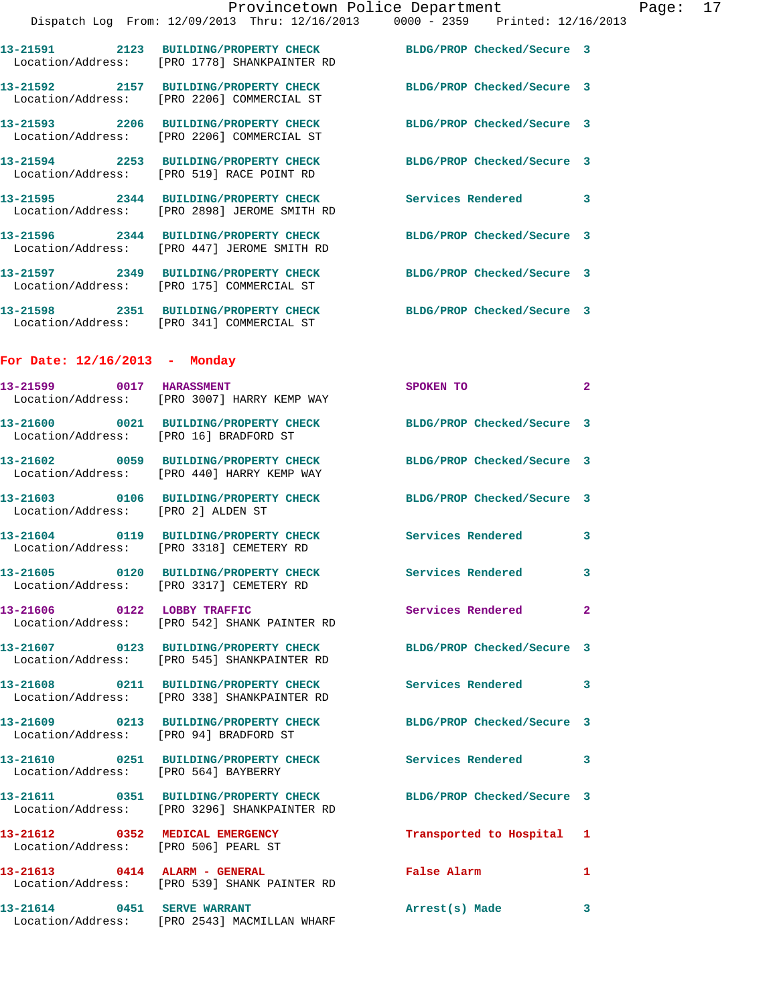| Location/Address:                                                       | 13-21591 2123 BUILDING/PROPERTY CHECK<br>[PRO 1778] SHANKPAINTER RD                                      | BLDG/PROP Checked/Secure 3 |              |
|-------------------------------------------------------------------------|----------------------------------------------------------------------------------------------------------|----------------------------|--------------|
|                                                                         | 13-21592 2157 BUILDING/PROPERTY CHECK<br>Location/Address: [PRO 2206] COMMERCIAL ST                      | BLDG/PROP Checked/Secure 3 |              |
| Location/Address:                                                       | 13-21593 2206 BUILDING/PROPERTY CHECK<br>[PRO 2206] COMMERCIAL ST                                        | BLDG/PROP Checked/Secure 3 |              |
| Location/Address:                                                       | 13-21594 2253 BUILDING/PROPERTY CHECK<br>[PRO 519] RACE POINT RD                                         | BLDG/PROP Checked/Secure 3 |              |
|                                                                         | 13-21595 2344 BUILDING/PROPERTY CHECK<br>Location/Address: [PRO 2898] JEROME SMITH RD                    | Services Rendered          | 3            |
|                                                                         | 13-21596 2344 BUILDING/PROPERTY CHECK<br>Location/Address: [PRO 447] JEROME SMITH RD                     | BLDG/PROP Checked/Secure 3 |              |
|                                                                         | 13-21597 2349 BUILDING/PROPERTY CHECK<br>Location/Address: [PRO 175] COMMERCIAL ST                       | BLDG/PROP Checked/Secure 3 |              |
|                                                                         | 13-21598 2351 BUILDING/PROPERTY CHECK<br>Location/Address: [PRO 341] COMMERCIAL ST                       | BLDG/PROP Checked/Secure 3 |              |
| For Date: $12/16/2013$ - Monday                                         |                                                                                                          |                            |              |
| 13-21599 0017 HARASSMENT                                                | Location/Address: [PRO 3007] HARRY KEMP WAY                                                              | SPOKEN TO                  | $\mathbf{2}$ |
| Location/Address: [PRO 16] BRADFORD ST                                  | 13-21600 0021 BUILDING/PROPERTY CHECK                                                                    | BLDG/PROP Checked/Secure 3 |              |
| Location/Address:                                                       | 13-21602 0059 BUILDING/PROPERTY CHECK<br>[PRO 440] HARRY KEMP WAY                                        | BLDG/PROP Checked/Secure 3 |              |
| Location/Address:                                                       | 13-21603 0106 BUILDING/PROPERTY CHECK<br>[PRO 2] ALDEN ST                                                | BLDG/PROP Checked/Secure 3 |              |
| Location/Address:                                                       | 13-21604 0119 BUILDING/PROPERTY CHECK<br>[PRO 3318] CEMETERY RD                                          | Services Rendered          | 3            |
|                                                                         | 13-21605 0120 BUILDING/PROPERTY CHECK<br>Location/Address: [PRO 3317] CEMETERY RD                        | Services Rendered 3        |              |
|                                                                         | Location/Address: [PRO 542] SHANK PAINTER RD                                                             | Services Rendered          |              |
|                                                                         | 13-21607 0123 BUILDING/PROPERTY CHECK<br>Location/Address: [PRO 545] SHANKPAINTER RD                     | BLDG/PROP Checked/Secure 3 |              |
|                                                                         | 13-21608 0211 BUILDING/PROPERTY CHECK Services Rendered 3<br>Location/Address: [PRO 338] SHANKPAINTER RD |                            |              |
|                                                                         | 13-21609 0213 BUILDING/PROPERTY CHECK<br>Location/Address: [PRO 94] BRADFORD ST                          | BLDG/PROP Checked/Secure 3 |              |
| Location/Address: [PRO 564] BAYBERRY                                    | 13-21610 0251 BUILDING/PROPERTY CHECK                                                                    | Services Rendered 3        |              |
|                                                                         | Location/Address: [PRO 3296] SHANKPAINTER RD                                                             | BLDG/PROP Checked/Secure 3 |              |
| 13-21612 0352 MEDICAL EMERGENCY<br>Location/Address: [PRO 506] PEARL ST |                                                                                                          | Transported to Hospital 1  |              |
| 13-21613 0414 ALARM - GENERAL                                           | Location/Address: [PRO 539] SHANK PAINTER RD                                                             | False Alarm                | 1            |
| 13-21614 0451 SERVE WARRANT                                             | Location/Address: [PRO 2543] MACMILLAN WHARF                                                             | Arrest(s) Made             | 3            |